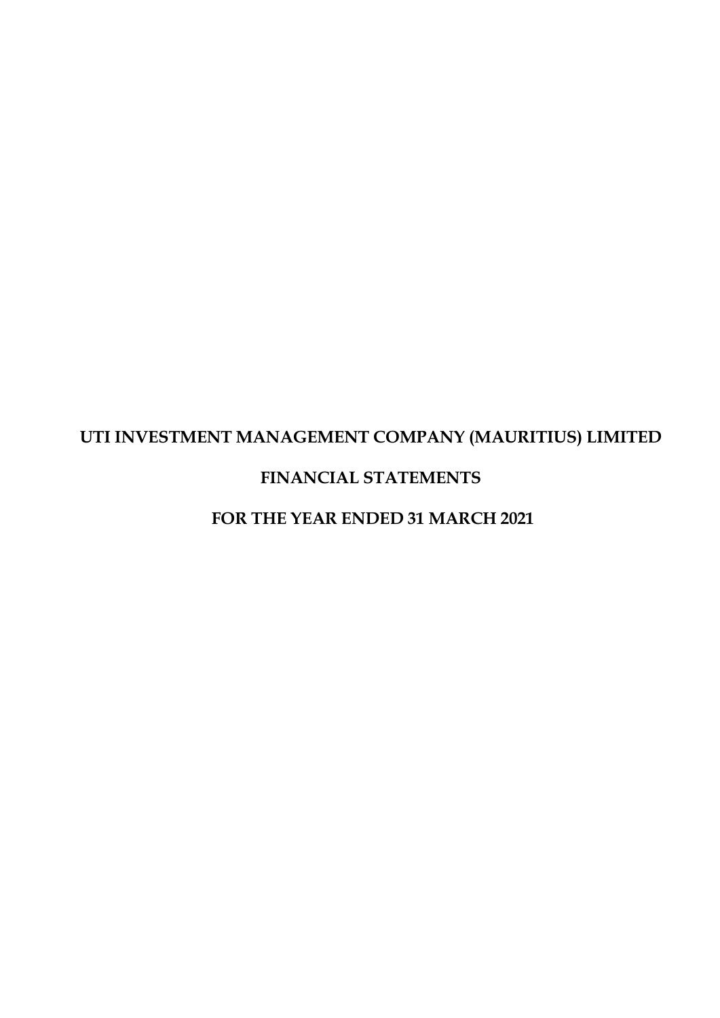# UTI INVESTMENT MANAGEMENT COMPANY (MAURITIUS) LIMITED

# FINANCIAL STATEMENTS

# FOR THE YEAR ENDED 31 MARCH 2021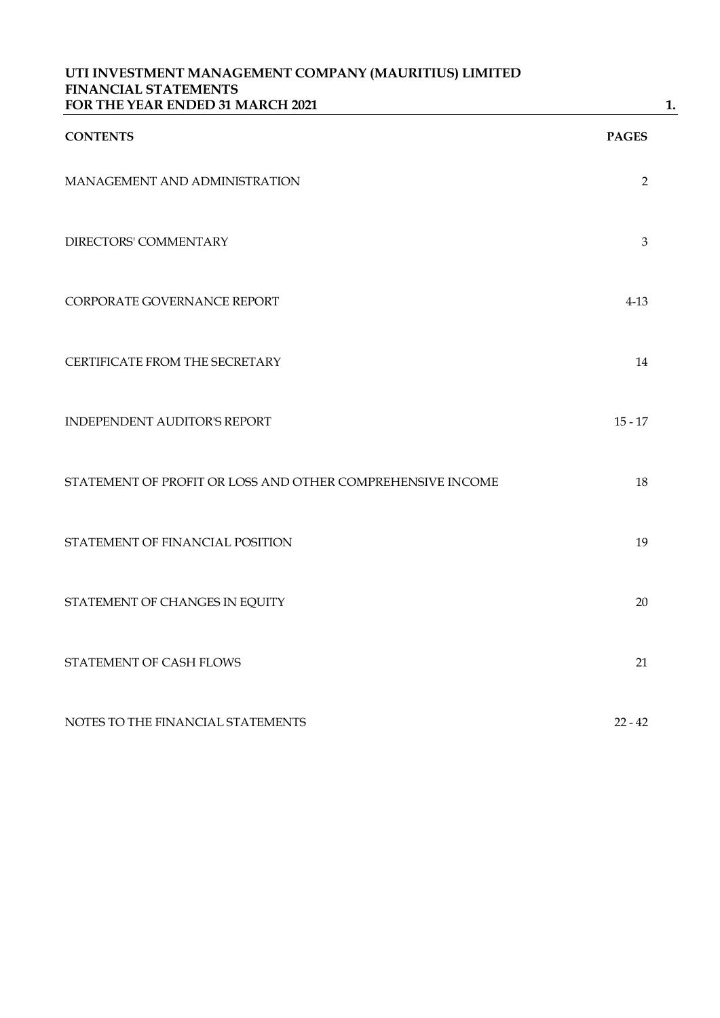# UTI INVESTMENT MANAGEMENT COMPANY (MAURITIUS) LIMITED FINANCIAL STATEMENTS FOR THE YEAR ENDED 31 MARCH 2021 1.

| <b>CONTENTS</b>                                            | <b>PAGES</b>   |
|------------------------------------------------------------|----------------|
| MANAGEMENT AND ADMINISTRATION                              | $\overline{2}$ |
| DIRECTORS' COMMENTARY                                      | $\mathfrak{Z}$ |
| CORPORATE GOVERNANCE REPORT                                | $4 - 13$       |
| CERTIFICATE FROM THE SECRETARY                             | 14             |
| <b>INDEPENDENT AUDITOR'S REPORT</b>                        | $15 - 17$      |
| STATEMENT OF PROFIT OR LOSS AND OTHER COMPREHENSIVE INCOME | 18             |
| STATEMENT OF FINANCIAL POSITION                            | 19             |
| STATEMENT OF CHANGES IN EQUITY                             | 20             |
| STATEMENT OF CASH FLOWS                                    | 21             |
| NOTES TO THE FINANCIAL STATEMENTS                          | $22 - 42$      |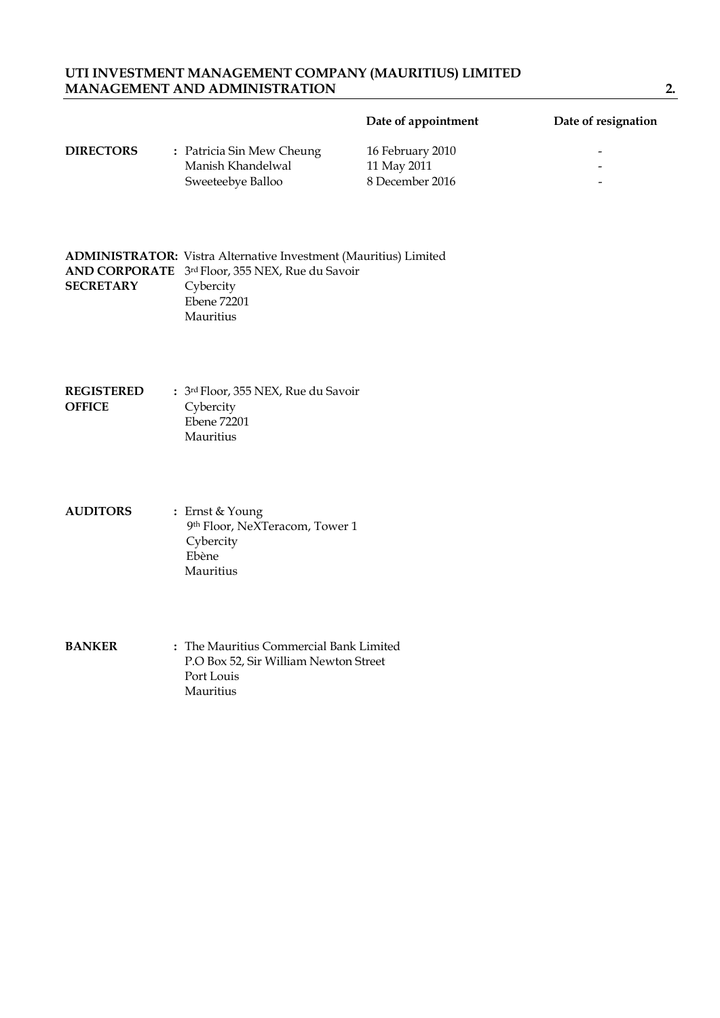# UTI INVESTMENT MANAGEMENT COMPANY (MAURITIUS) LIMITED MANAGEMENT AND ADMINISTRATION 2.

|                                    |                                                                                                                                                                            | Date of appointment                                | Date of resignation |
|------------------------------------|----------------------------------------------------------------------------------------------------------------------------------------------------------------------------|----------------------------------------------------|---------------------|
| <b>DIRECTORS</b>                   | : Patricia Sin Mew Cheung<br>Manish Khandelwal<br>Sweeteebye Balloo                                                                                                        | 16 February 2010<br>11 May 2011<br>8 December 2016 |                     |
| <b>SECRETARY</b>                   | <b>ADMINISTRATOR:</b> Vistra Alternative Investment (Mauritius) Limited<br>AND CORPORATE 3rd Floor, 355 NEX, Rue du Savoir<br>Cybercity<br><b>Ebene 72201</b><br>Mauritius |                                                    |                     |
| <b>REGISTERED</b><br><b>OFFICE</b> | : 3rd Floor, 355 NEX, Rue du Savoir<br>Cybercity<br><b>Ebene 72201</b><br>Mauritius                                                                                        |                                                    |                     |
| <b>AUDITORS</b>                    | : Ernst & Young<br>9th Floor, NeXTeracom, Tower 1<br>Cybercity<br>Ebène<br>Mauritius                                                                                       |                                                    |                     |
| <b>BANKER</b>                      | : The Mauritius Commercial Bank Limited<br>P.O Box 52, Sir William Newton Street<br>Port Louis<br>Mauritius                                                                |                                                    |                     |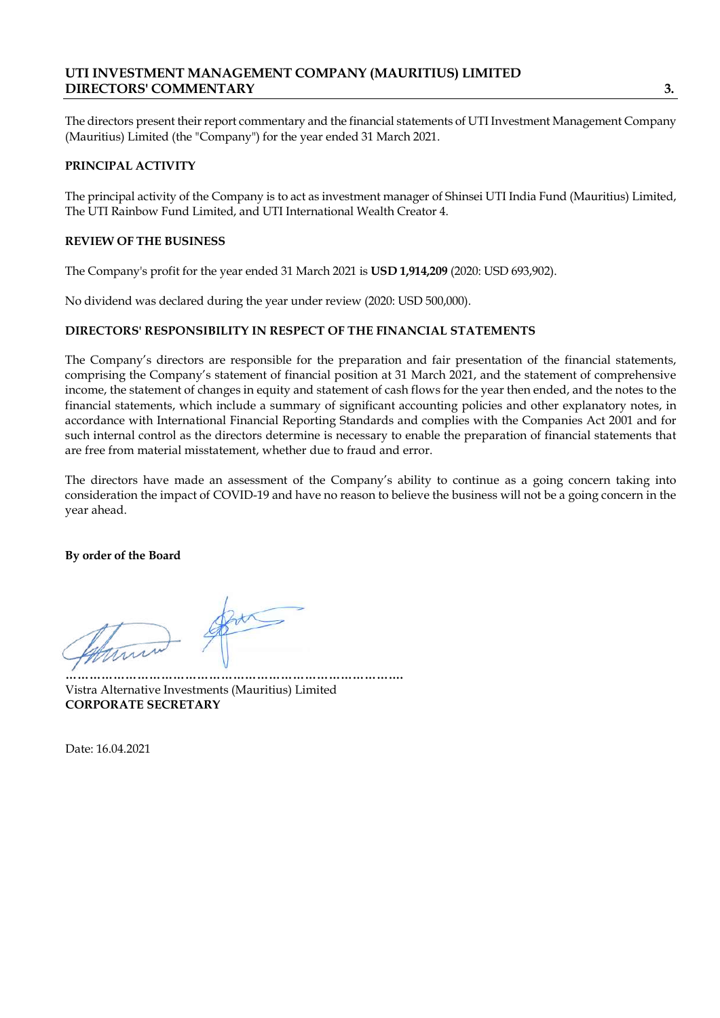# UTI INVESTMENT MANAGEMENT COMPANY (MAURITIUS) LIMITED DIRECTORS' COMMENTARY 3.

The directors present their report commentary and the financial statements of UTI Investment Management Company (Mauritius) Limited (the "Company") for the year ended 31 March 2021.

## PRINCIPAL ACTIVITY

The principal activity of the Company is to act as investment manager of Shinsei UTI India Fund (Mauritius) Limited, The UTI Rainbow Fund Limited, and UTI International Wealth Creator 4.

## REVIEW OF THE BUSINESS

The Company's profit for the year ended 31 March 2021 is USD 1,914,209 (2020: USD 693,902).

No dividend was declared during the year under review (2020: USD 500,000).

# DIRECTORS' RESPONSIBILITY IN RESPECT OF THE FINANCIAL STATEMENTS

The Company's directors are responsible for the preparation and fair presentation of the financial statements, comprising the Company's statement of financial position at 31 March 2021, and the statement of comprehensive income, the statement of changes in equity and statement of cash flows for the year then ended, and the notes to the financial statements, which include a summary of significant accounting policies and other explanatory notes, in accordance with International Financial Reporting Standards and complies with the Companies Act 2001 and for such internal control as the directors determine is necessary to enable the preparation of financial statements that are free from material misstatement, whether due to fraud and error.

The directors have made an assessment of the Company's ability to continue as a going concern taking into consideration the impact of COVID-19 and have no reason to believe the business will not be a going concern in the year ahead.

By order of the Board

…………………………………………………………………………. Vistra Alternative Investments (Mauritius) Limited CORPORATE SECRETARY

Date: 16.04.2021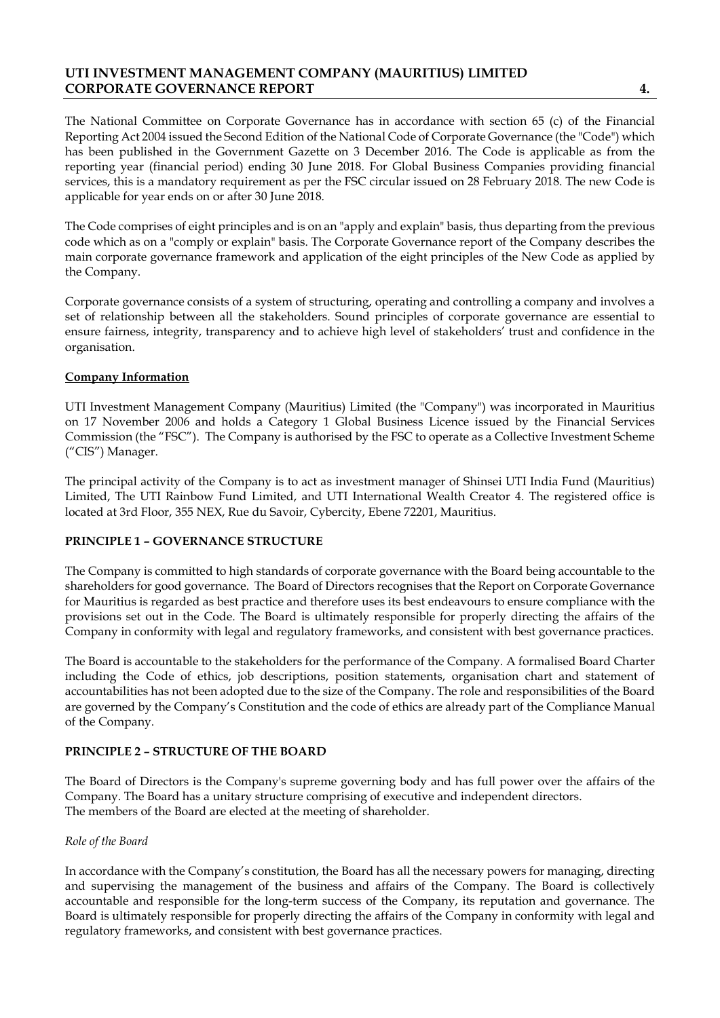# UTI INVESTMENT MANAGEMENT COMPANY (MAURITIUS) LIMITED CORPORATE GOVERNANCE REPORT 4.

The National Committee on Corporate Governance has in accordance with section 65 (c) of the Financial Reporting Act 2004 issued the Second Edition of the National Code of Corporate Governance (the "Code") which has been published in the Government Gazette on 3 December 2016. The Code is applicable as from the reporting year (financial period) ending 30 June 2018. For Global Business Companies providing financial services, this is a mandatory requirement as per the FSC circular issued on 28 February 2018. The new Code is applicable for year ends on or after 30 June 2018.

The Code comprises of eight principles and is on an "apply and explain" basis, thus departing from the previous code which as on a "comply or explain" basis. The Corporate Governance report of the Company describes the main corporate governance framework and application of the eight principles of the New Code as applied by the Company.

Corporate governance consists of a system of structuring, operating and controlling a company and involves a set of relationship between all the stakeholders. Sound principles of corporate governance are essential to ensure fairness, integrity, transparency and to achieve high level of stakeholders' trust and confidence in the organisation.

# Company Information

UTI Investment Management Company (Mauritius) Limited (the "Company") was incorporated in Mauritius on 17 November 2006 and holds a Category 1 Global Business Licence issued by the Financial Services Commission (the "FSC"). The Company is authorised by the FSC to operate as a Collective Investment Scheme ("CIS") Manager.

The principal activity of the Company is to act as investment manager of Shinsei UTI India Fund (Mauritius) Limited, The UTI Rainbow Fund Limited, and UTI International Wealth Creator 4. The registered office is located at 3rd Floor, 355 NEX, Rue du Savoir, Cybercity, Ebene 72201, Mauritius.

# PRINCIPLE 1 – GOVERNANCE STRUCTURE

The Company is committed to high standards of corporate governance with the Board being accountable to the shareholders for good governance. The Board of Directors recognises that the Report on Corporate Governance for Mauritius is regarded as best practice and therefore uses its best endeavours to ensure compliance with the provisions set out in the Code. The Board is ultimately responsible for properly directing the affairs of the Company in conformity with legal and regulatory frameworks, and consistent with best governance practices.

The Board is accountable to the stakeholders for the performance of the Company. A formalised Board Charter including the Code of ethics, job descriptions, position statements, organisation chart and statement of accountabilities has not been adopted due to the size of the Company. The role and responsibilities of the Board are governed by the Company's Constitution and the code of ethics are already part of the Compliance Manual of the Company.

# PRINCIPLE 2 – STRUCTURE OF THE BOARD

The Board of Directors is the Company's supreme governing body and has full power over the affairs of the Company. The Board has a unitary structure comprising of executive and independent directors. The members of the Board are elected at the meeting of shareholder.

## Role of the Board

In accordance with the Company's constitution, the Board has all the necessary powers for managing, directing and supervising the management of the business and affairs of the Company. The Board is collectively accountable and responsible for the long-term success of the Company, its reputation and governance. The Board is ultimately responsible for properly directing the affairs of the Company in conformity with legal and regulatory frameworks, and consistent with best governance practices.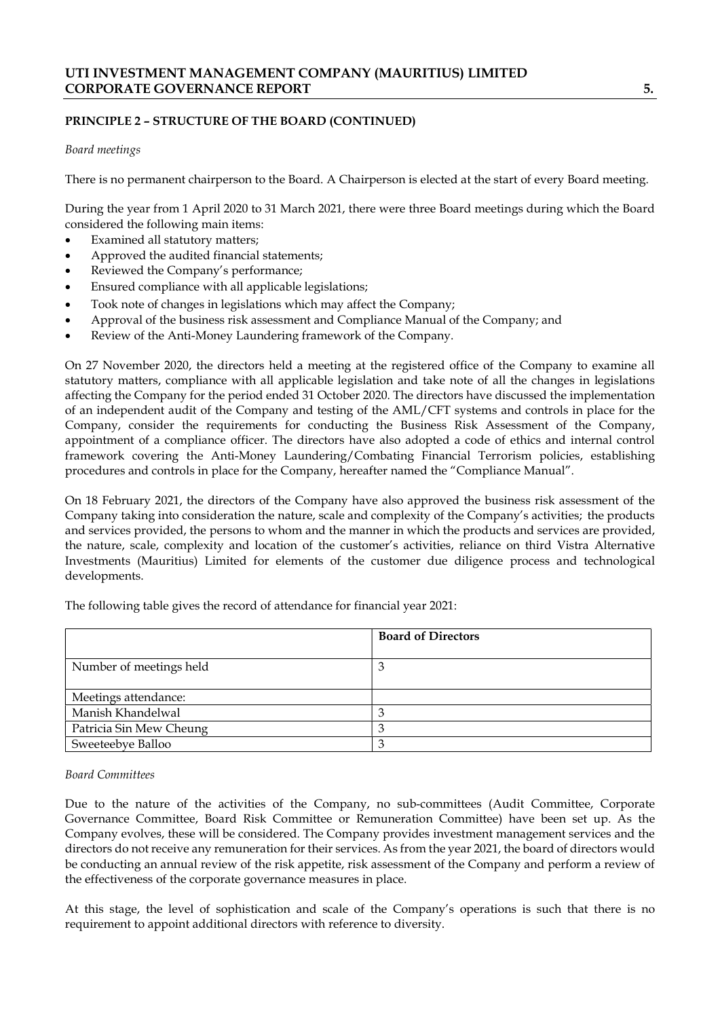# PRINCIPLE 2 – STRUCTURE OF THE BOARD (CONTINUED)

## Board meetings

There is no permanent chairperson to the Board. A Chairperson is elected at the start of every Board meeting.

During the year from 1 April 2020 to 31 March 2021, there were three Board meetings during which the Board considered the following main items:

- Examined all statutory matters;
- Approved the audited financial statements;
- Reviewed the Company's performance;
- Ensured compliance with all applicable legislations;
- Took note of changes in legislations which may affect the Company;
- Approval of the business risk assessment and Compliance Manual of the Company; and
- Review of the Anti-Money Laundering framework of the Company.

On 27 November 2020, the directors held a meeting at the registered office of the Company to examine all statutory matters, compliance with all applicable legislation and take note of all the changes in legislations affecting the Company for the period ended 31 October 2020. The directors have discussed the implementation of an independent audit of the Company and testing of the AML/CFT systems and controls in place for the Company, consider the requirements for conducting the Business Risk Assessment of the Company, appointment of a compliance officer. The directors have also adopted a code of ethics and internal control framework covering the Anti-Money Laundering/Combating Financial Terrorism policies, establishing procedures and controls in place for the Company, hereafter named the "Compliance Manual".

On 18 February 2021, the directors of the Company have also approved the business risk assessment of the Company taking into consideration the nature, scale and complexity of the Company's activities; the products and services provided, the persons to whom and the manner in which the products and services are provided, the nature, scale, complexity and location of the customer's activities, reliance on third Vistra Alternative Investments (Mauritius) Limited for elements of the customer due diligence process and technological developments.

|                         | <b>Board of Directors</b> |
|-------------------------|---------------------------|
|                         |                           |
| Number of meetings held |                           |
|                         |                           |
| Meetings attendance:    |                           |
| Manish Khandelwal       |                           |
| Patricia Sin Mew Cheung |                           |
| Sweeteebye Balloo       | З                         |

The following table gives the record of attendance for financial year 2021:

#### Board Committees

Due to the nature of the activities of the Company, no sub-committees (Audit Committee, Corporate Governance Committee, Board Risk Committee or Remuneration Committee) have been set up. As the Company evolves, these will be considered. The Company provides investment management services and the directors do not receive any remuneration for their services. As from the year 2021, the board of directors would be conducting an annual review of the risk appetite, risk assessment of the Company and perform a review of the effectiveness of the corporate governance measures in place.

At this stage, the level of sophistication and scale of the Company's operations is such that there is no requirement to appoint additional directors with reference to diversity.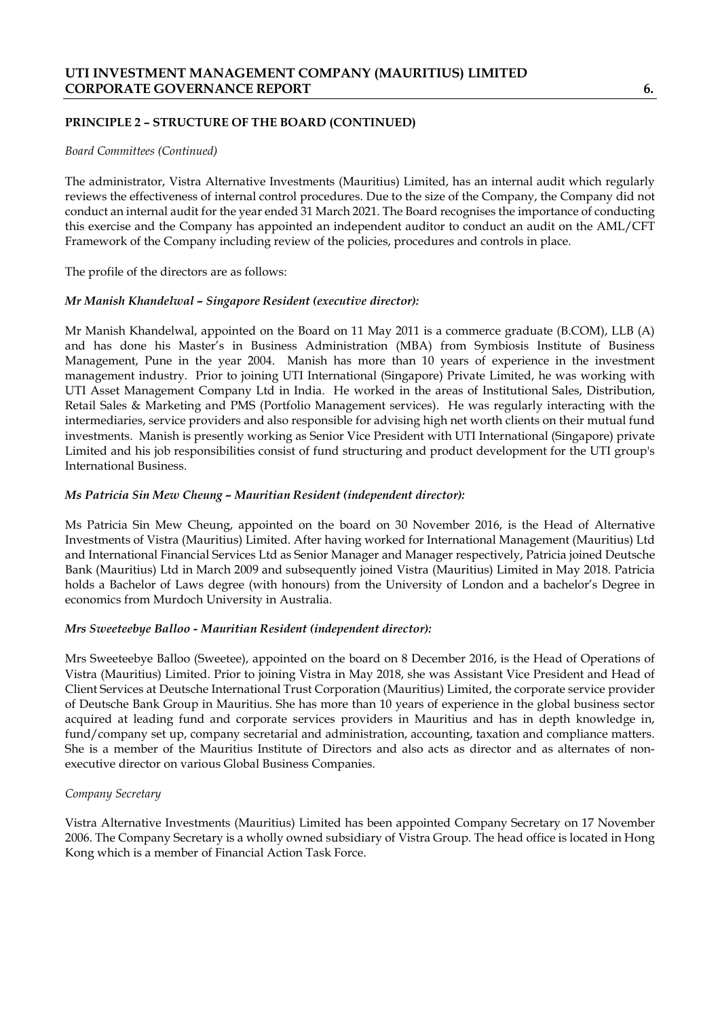## PRINCIPLE 2 – STRUCTURE OF THE BOARD (CONTINUED)

## Board Committees (Continued)

The administrator, Vistra Alternative Investments (Mauritius) Limited, has an internal audit which regularly reviews the effectiveness of internal control procedures. Due to the size of the Company, the Company did not conduct an internal audit for the year ended 31 March 2021. The Board recognises the importance of conducting this exercise and the Company has appointed an independent auditor to conduct an audit on the AML/CFT Framework of the Company including review of the policies, procedures and controls in place.

The profile of the directors are as follows:

## Mr Manish Khandelwal – Singapore Resident (executive director):

Mr Manish Khandelwal, appointed on the Board on 11 May 2011 is a commerce graduate (B.COM), LLB (A) and has done his Master's in Business Administration (MBA) from Symbiosis Institute of Business Management, Pune in the year 2004. Manish has more than 10 years of experience in the investment management industry. Prior to joining UTI International (Singapore) Private Limited, he was working with UTI Asset Management Company Ltd in India. He worked in the areas of Institutional Sales, Distribution, Retail Sales & Marketing and PMS (Portfolio Management services). He was regularly interacting with the intermediaries, service providers and also responsible for advising high net worth clients on their mutual fund investments. Manish is presently working as Senior Vice President with UTI International (Singapore) private Limited and his job responsibilities consist of fund structuring and product development for the UTI group's International Business.

## Ms Patricia Sin Mew Cheung – Mauritian Resident (independent director):

Ms Patricia Sin Mew Cheung, appointed on the board on 30 November 2016, is the Head of Alternative Investments of Vistra (Mauritius) Limited. After having worked for International Management (Mauritius) Ltd and International Financial Services Ltd as Senior Manager and Manager respectively, Patricia joined Deutsche Bank (Mauritius) Ltd in March 2009 and subsequently joined Vistra (Mauritius) Limited in May 2018. Patricia holds a Bachelor of Laws degree (with honours) from the University of London and a bachelor's Degree in economics from Murdoch University in Australia.

## Mrs Sweeteebye Balloo - Mauritian Resident (independent director):

Mrs Sweeteebye Balloo (Sweetee), appointed on the board on 8 December 2016, is the Head of Operations of Vistra (Mauritius) Limited. Prior to joining Vistra in May 2018, she was Assistant Vice President and Head of Client Services at Deutsche International Trust Corporation (Mauritius) Limited, the corporate service provider of Deutsche Bank Group in Mauritius. She has more than 10 years of experience in the global business sector acquired at leading fund and corporate services providers in Mauritius and has in depth knowledge in, fund/company set up, company secretarial and administration, accounting, taxation and compliance matters. She is a member of the Mauritius Institute of Directors and also acts as director and as alternates of nonexecutive director on various Global Business Companies.

## Company Secretary

Vistra Alternative Investments (Mauritius) Limited has been appointed Company Secretary on 17 November 2006. The Company Secretary is a wholly owned subsidiary of Vistra Group. The head office is located in Hong Kong which is a member of Financial Action Task Force.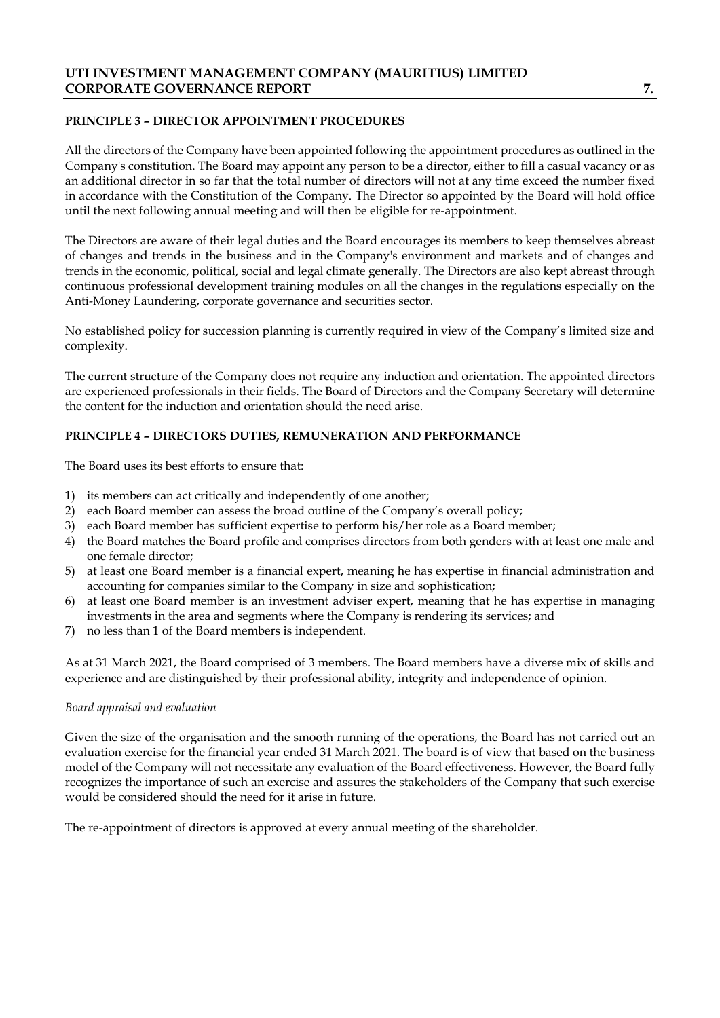# UTI INVESTMENT MANAGEMENT COMPANY (MAURITIUS) LIMITED CORPORATE GOVERNANCE REPORT 7.

## PRINCIPLE 3 – DIRECTOR APPOINTMENT PROCEDURES

All the directors of the Company have been appointed following the appointment procedures as outlined in the Company's constitution. The Board may appoint any person to be a director, either to fill a casual vacancy or as an additional director in so far that the total number of directors will not at any time exceed the number fixed in accordance with the Constitution of the Company. The Director so appointed by the Board will hold office until the next following annual meeting and will then be eligible for re-appointment.

The Directors are aware of their legal duties and the Board encourages its members to keep themselves abreast of changes and trends in the business and in the Company's environment and markets and of changes and trends in the economic, political, social and legal climate generally. The Directors are also kept abreast through continuous professional development training modules on all the changes in the regulations especially on the Anti-Money Laundering, corporate governance and securities sector.

No established policy for succession planning is currently required in view of the Company's limited size and complexity.

The current structure of the Company does not require any induction and orientation. The appointed directors are experienced professionals in their fields. The Board of Directors and the Company Secretary will determine the content for the induction and orientation should the need arise.

# PRINCIPLE 4 – DIRECTORS DUTIES, REMUNERATION AND PERFORMANCE

The Board uses its best efforts to ensure that:

- 1) its members can act critically and independently of one another;
- 2) each Board member can assess the broad outline of the Company's overall policy;
- 3) each Board member has sufficient expertise to perform his/her role as a Board member;
- 4) the Board matches the Board profile and comprises directors from both genders with at least one male and one female director;
- 5) at least one Board member is a financial expert, meaning he has expertise in financial administration and accounting for companies similar to the Company in size and sophistication;
- 6) at least one Board member is an investment adviser expert, meaning that he has expertise in managing investments in the area and segments where the Company is rendering its services; and
- 7) no less than 1 of the Board members is independent.

As at 31 March 2021, the Board comprised of 3 members. The Board members have a diverse mix of skills and experience and are distinguished by their professional ability, integrity and independence of opinion.

## Board appraisal and evaluation

Given the size of the organisation and the smooth running of the operations, the Board has not carried out an evaluation exercise for the financial year ended 31 March 2021. The board is of view that based on the business model of the Company will not necessitate any evaluation of the Board effectiveness. However, the Board fully recognizes the importance of such an exercise and assures the stakeholders of the Company that such exercise would be considered should the need for it arise in future.

The re-appointment of directors is approved at every annual meeting of the shareholder.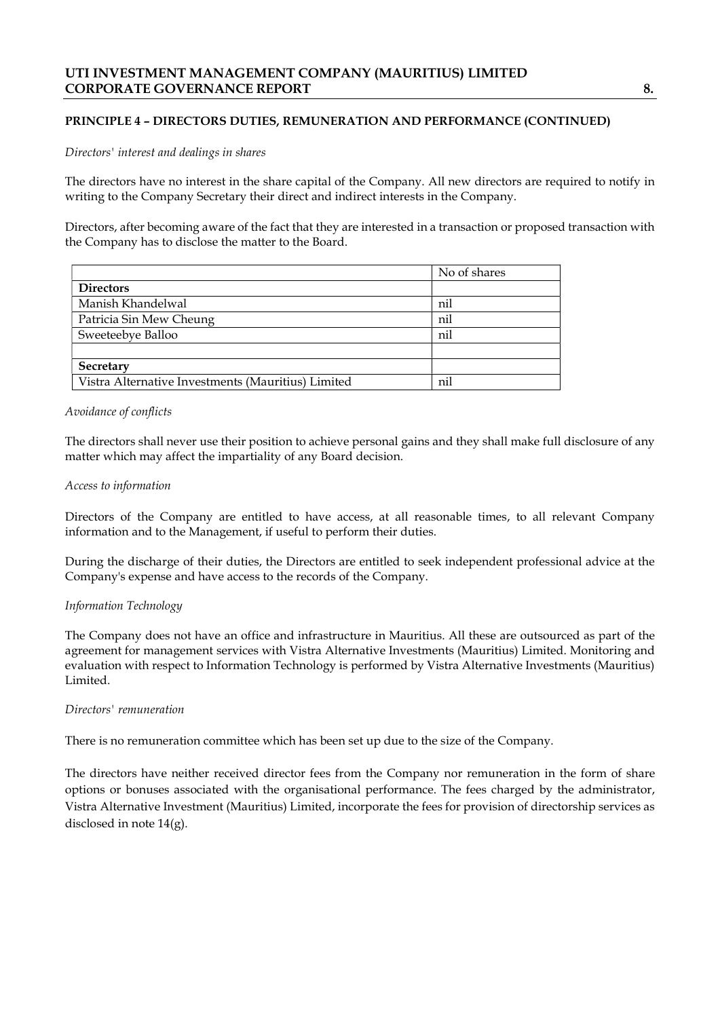# UTI INVESTMENT MANAGEMENT COMPANY (MAURITIUS) LIMITED CORPORATE GOVERNANCE REPORT 8.

# PRINCIPLE 4 – DIRECTORS DUTIES, REMUNERATION AND PERFORMANCE (CONTINUED)

#### Directors' interest and dealings in shares

The directors have no interest in the share capital of the Company. All new directors are required to notify in writing to the Company Secretary their direct and indirect interests in the Company.

Directors, after becoming aware of the fact that they are interested in a transaction or proposed transaction with the Company has to disclose the matter to the Board.

|                                                    | No of shares |
|----------------------------------------------------|--------------|
| <b>Directors</b>                                   |              |
| Manish Khandelwal                                  | nil          |
| Patricia Sin Mew Cheung                            | nil          |
| Sweeteebye Balloo                                  | nil          |
|                                                    |              |
| <b>Secretary</b>                                   |              |
| Vistra Alternative Investments (Mauritius) Limited | nil          |

#### Avoidance of conflicts

The directors shall never use their position to achieve personal gains and they shall make full disclosure of any matter which may affect the impartiality of any Board decision.

#### Access to information

Directors of the Company are entitled to have access, at all reasonable times, to all relevant Company information and to the Management, if useful to perform their duties.

During the discharge of their duties, the Directors are entitled to seek independent professional advice at the Company's expense and have access to the records of the Company.

## Information Technology

The Company does not have an office and infrastructure in Mauritius. All these are outsourced as part of the agreement for management services with Vistra Alternative Investments (Mauritius) Limited. Monitoring and evaluation with respect to Information Technology is performed by Vistra Alternative Investments (Mauritius) Limited.

## Directors' remuneration

There is no remuneration committee which has been set up due to the size of the Company.

The directors have neither received director fees from the Company nor remuneration in the form of share options or bonuses associated with the organisational performance. The fees charged by the administrator, Vistra Alternative Investment (Mauritius) Limited, incorporate the fees for provision of directorship services as disclosed in note 14(g).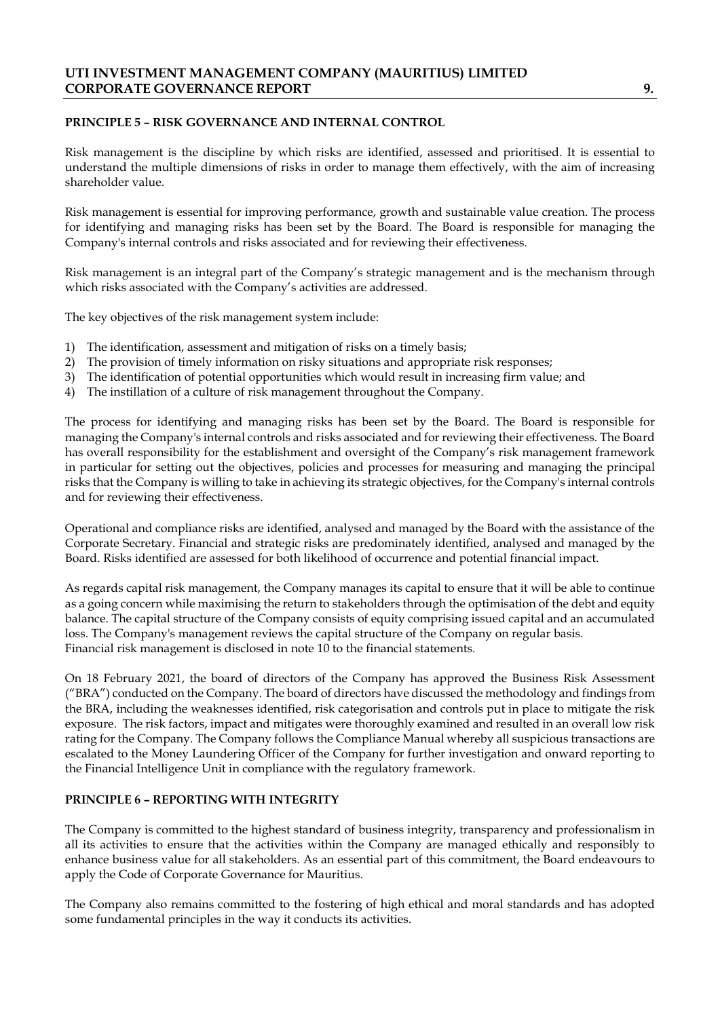## PRINCIPLE 5 – RISK GOVERNANCE AND INTERNAL CONTROL

Risk management is the discipline by which risks are identified, assessed and prioritised. It is essential to understand the multiple dimensions of risks in order to manage them effectively, with the aim of increasing shareholder value.

Risk management is essential for improving performance, growth and sustainable value creation. The process for identifying and managing risks has been set by the Board. The Board is responsible for managing the Company's internal controls and risks associated and for reviewing their effectiveness.

Risk management is an integral part of the Company's strategic management and is the mechanism through which risks associated with the Company's activities are addressed.

The key objectives of the risk management system include:

- 1) The identification, assessment and mitigation of risks on a timely basis;
- 2) The provision of timely information on risky situations and appropriate risk responses;
- 3) The identification of potential opportunities which would result in increasing firm value; and
- 4) The instillation of a culture of risk management throughout the Company.

The process for identifying and managing risks has been set by the Board. The Board is responsible for managing the Company's internal controls and risks associated and for reviewing their effectiveness. The Board has overall responsibility for the establishment and oversight of the Company's risk management framework in particular for setting out the objectives, policies and processes for measuring and managing the principal risks that the Company is willing to take in achieving its strategic objectives, for the Company's internal controls and for reviewing their effectiveness.

Operational and compliance risks are identified, analysed and managed by the Board with the assistance of the Corporate Secretary. Financial and strategic risks are predominately identified, analysed and managed by the Board. Risks identified are assessed for both likelihood of occurrence and potential financial impact.

As regards capital risk management, the Company manages its capital to ensure that it will be able to continue as a going concern while maximising the return to stakeholders through the optimisation of the debt and equity balance. The capital structure of the Company consists of equity comprising issued capital and an accumulated loss. The Company's management reviews the capital structure of the Company on regular basis. Financial risk management is disclosed in note 10 to the financial statements.

On 18 February 2021, the board of directors of the Company has approved the Business Risk Assessment ("BRA") conducted on the Company. The board of directors have discussed the methodology and findings from the BRA, including the weaknesses identified, risk categorisation and controls put in place to mitigate the risk exposure. The risk factors, impact and mitigates were thoroughly examined and resulted in an overall low risk rating for the Company. The Company follows the Compliance Manual whereby all suspicious transactions are escalated to the Money Laundering Officer of the Company for further investigation and onward reporting to the Financial Intelligence Unit in compliance with the regulatory framework.

# PRINCIPLE 6 – REPORTING WITH INTEGRITY

The Company is committed to the highest standard of business integrity, transparency and professionalism in all its activities to ensure that the activities within the Company are managed ethically and responsibly to enhance business value for all stakeholders. As an essential part of this commitment, the Board endeavours to apply the Code of Corporate Governance for Mauritius.

The Company also remains committed to the fostering of high ethical and moral standards and has adopted some fundamental principles in the way it conducts its activities.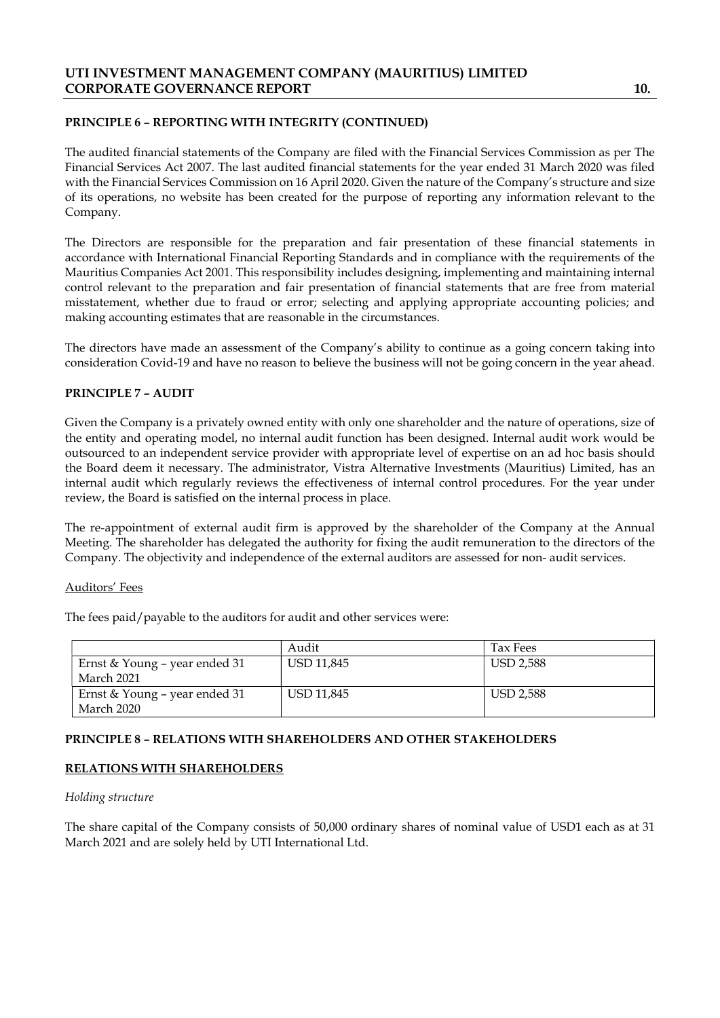# UTI INVESTMENT MANAGEMENT COMPANY (MAURITIUS) LIMITED **CORPORATE GOVERNANCE REPORT 10.** 10.

## PRINCIPLE 6 – REPORTING WITH INTEGRITY (CONTINUED)

The audited financial statements of the Company are filed with the Financial Services Commission as per The Financial Services Act 2007. The last audited financial statements for the year ended 31 March 2020 was filed with the Financial Services Commission on 16 April 2020. Given the nature of the Company's structure and size of its operations, no website has been created for the purpose of reporting any information relevant to the Company.

The Directors are responsible for the preparation and fair presentation of these financial statements in accordance with International Financial Reporting Standards and in compliance with the requirements of the Mauritius Companies Act 2001. This responsibility includes designing, implementing and maintaining internal control relevant to the preparation and fair presentation of financial statements that are free from material misstatement, whether due to fraud or error; selecting and applying appropriate accounting policies; and making accounting estimates that are reasonable in the circumstances.

The directors have made an assessment of the Company's ability to continue as a going concern taking into consideration Covid-19 and have no reason to believe the business will not be going concern in the year ahead.

# PRINCIPLE 7 – AUDIT

Given the Company is a privately owned entity with only one shareholder and the nature of operations, size of the entity and operating model, no internal audit function has been designed. Internal audit work would be outsourced to an independent service provider with appropriate level of expertise on an ad hoc basis should the Board deem it necessary. The administrator, Vistra Alternative Investments (Mauritius) Limited, has an internal audit which regularly reviews the effectiveness of internal control procedures. For the year under review, the Board is satisfied on the internal process in place.

The re-appointment of external audit firm is approved by the shareholder of the Company at the Annual Meeting. The shareholder has delegated the authority for fixing the audit remuneration to the directors of the Company. The objectivity and independence of the external auditors are assessed for non- audit services.

## Auditors' Fees

The fees paid/payable to the auditors for audit and other services were:

|                                             | Audit      | Tax Fees         |
|---------------------------------------------|------------|------------------|
| Ernst & Young – year ended 31<br>March 2021 | USD 11,845 | <b>USD 2,588</b> |
| Ernst & Young - year ended 31<br>March 2020 | USD 11,845 | <b>USD 2,588</b> |

# PRINCIPLE 8 – RELATIONS WITH SHAREHOLDERS AND OTHER STAKEHOLDERS

# RELATIONS WITH SHAREHOLDERS

## Holding structure

The share capital of the Company consists of 50,000 ordinary shares of nominal value of USD1 each as at 31 March 2021 and are solely held by UTI International Ltd.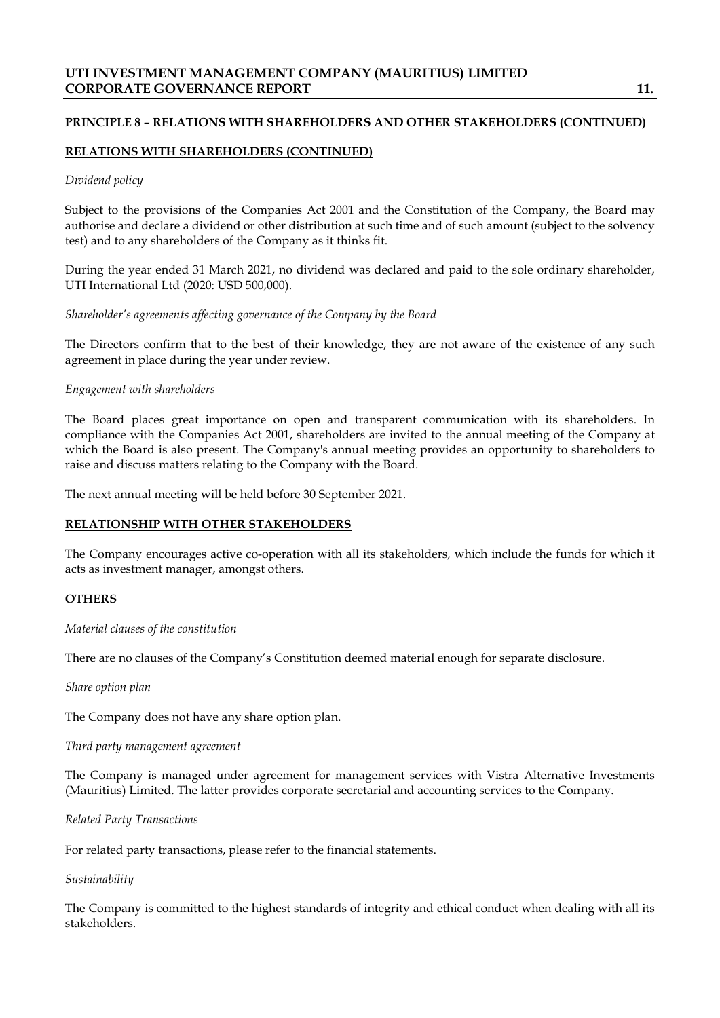# PRINCIPLE 8 – RELATIONS WITH SHAREHOLDERS AND OTHER STAKEHOLDERS (CONTINUED)

## RELATIONS WITH SHAREHOLDERS (CONTINUED)

## Dividend policy

Subject to the provisions of the Companies Act 2001 and the Constitution of the Company, the Board may authorise and declare a dividend or other distribution at such time and of such amount (subject to the solvency test) and to any shareholders of the Company as it thinks fit.

During the year ended 31 March 2021, no dividend was declared and paid to the sole ordinary shareholder, UTI International Ltd (2020: USD 500,000).

## Shareholder's agreements affecting governance of the Company by the Board

The Directors confirm that to the best of their knowledge, they are not aware of the existence of any such agreement in place during the year under review.

## Engagement with shareholders

The Board places great importance on open and transparent communication with its shareholders. In compliance with the Companies Act 2001, shareholders are invited to the annual meeting of the Company at which the Board is also present. The Company's annual meeting provides an opportunity to shareholders to raise and discuss matters relating to the Company with the Board.

The next annual meeting will be held before 30 September 2021.

# RELATIONSHIP WITH OTHER STAKEHOLDERS

The Company encourages active co-operation with all its stakeholders, which include the funds for which it acts as investment manager, amongst others.

# **OTHERS**

## Material clauses of the constitution

There are no clauses of the Company's Constitution deemed material enough for separate disclosure.

Share option plan

The Company does not have any share option plan.

## Third party management agreement

The Company is managed under agreement for management services with Vistra Alternative Investments (Mauritius) Limited. The latter provides corporate secretarial and accounting services to the Company.

Related Party Transactions

For related party transactions, please refer to the financial statements.

## Sustainability

The Company is committed to the highest standards of integrity and ethical conduct when dealing with all its stakeholders.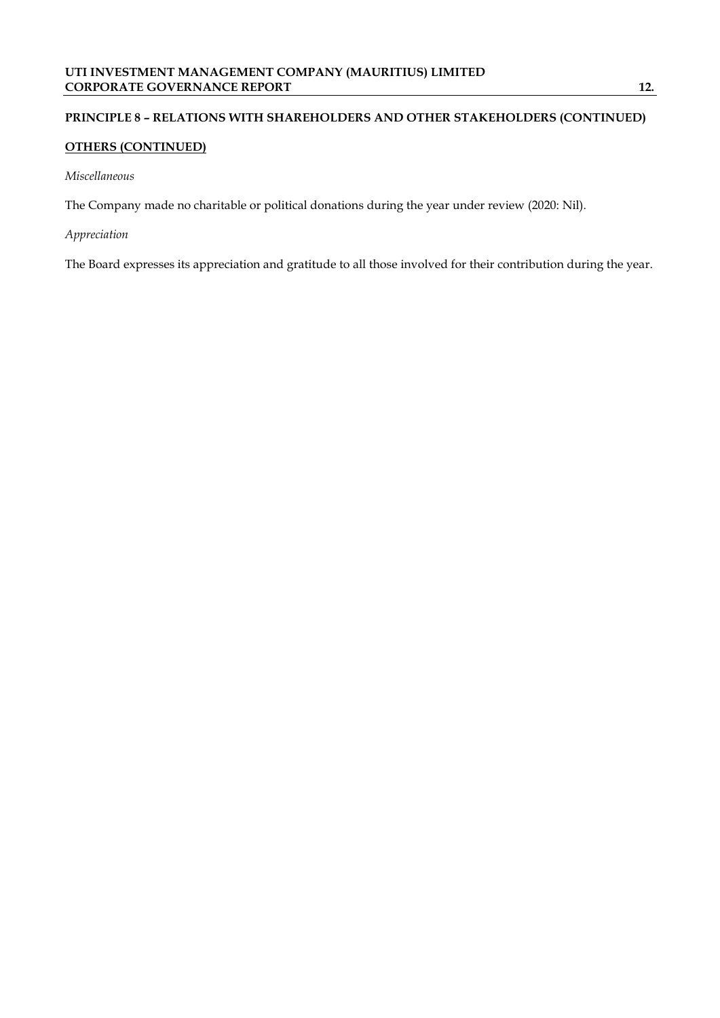# PRINCIPLE 8 – RELATIONS WITH SHAREHOLDERS AND OTHER STAKEHOLDERS (CONTINUED)

# OTHERS (CONTINUED)

Miscellaneous

The Company made no charitable or political donations during the year under review (2020: Nil).

## Appreciation

The Board expresses its appreciation and gratitude to all those involved for their contribution during the year.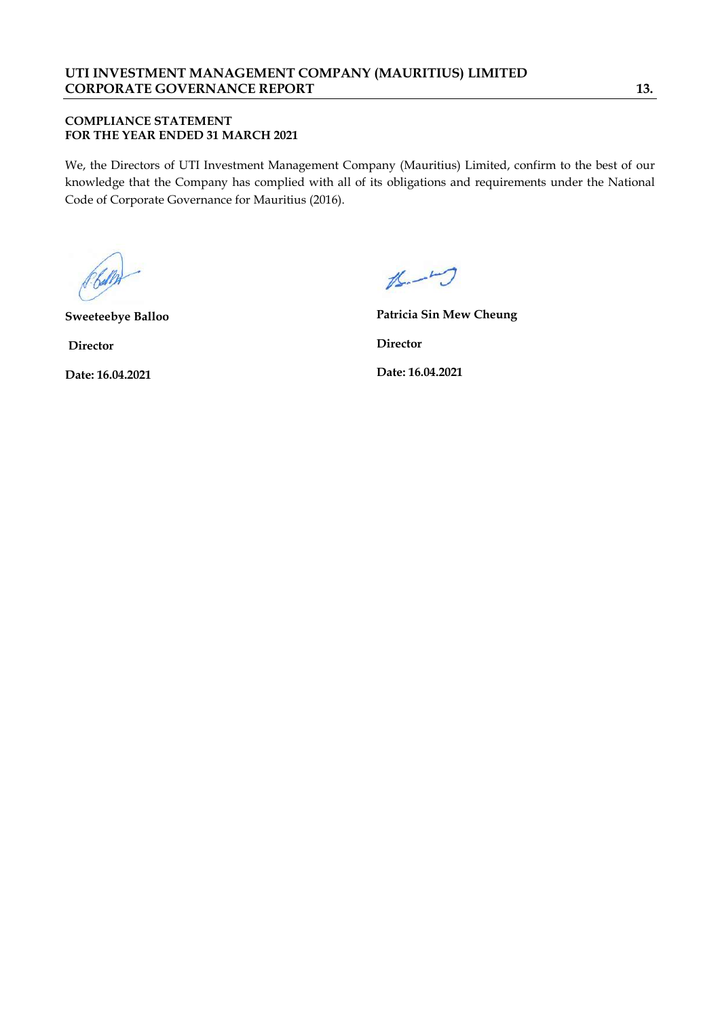## COMPLIANCE STATEMENT FOR THE YEAR ENDED 31 MARCH 2021

We, the Directors of UTI Investment Management Company (Mauritius) Limited, confirm to the best of our knowledge that the Company has complied with all of its obligations and requirements under the National Code of Corporate Governance for Mauritius (2016).

**Sweeteebye Balloo**

**Director** 

Date: **16.04.2021**

 $15 - 47$ 

**Patricia Sin Mew Cheung Director Date: 16.04.2021**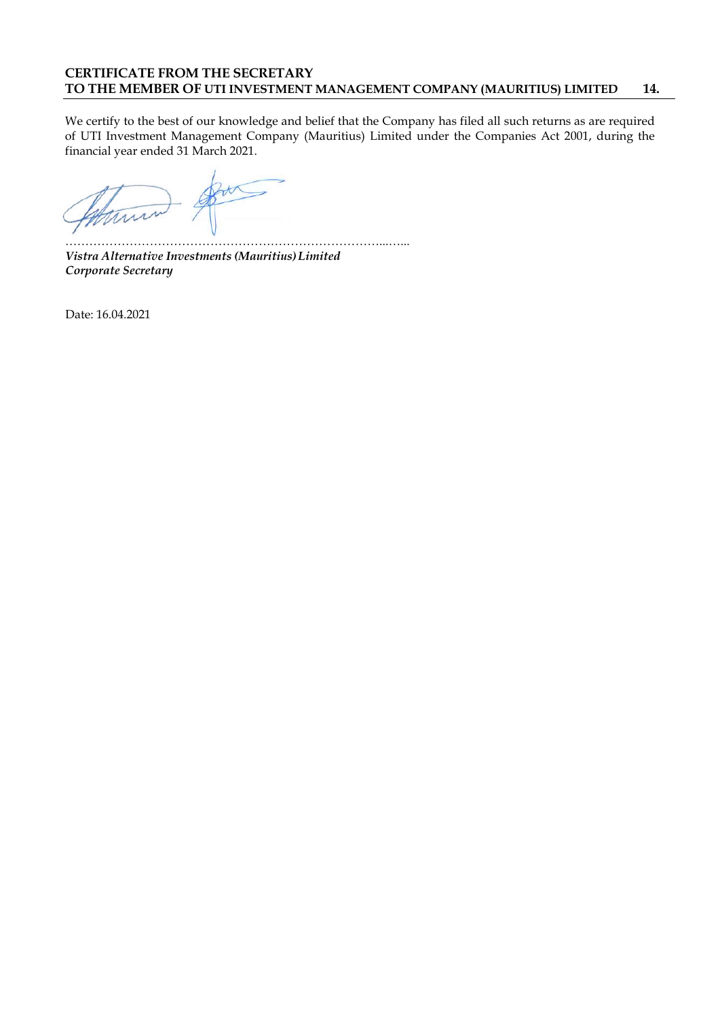# CERTIFICATE FROM THE SECRETARY TO THE MEMBER OF UTI INVESTMENT MANAGEMENT COMPANY (MAURITIUS) LIMITED 14.

We certify to the best of our knowledge and belief that the Company has filed all such returns as are required of UTI Investment Management Company (Mauritius) Limited under the Companies Act 2001, during the financial year ended 31 March 2021.

……………………………………………………………………...…... Vistra Alternative Investment*s* (Mauritius) Limited Corporate Secretary

Date: 16.04.2021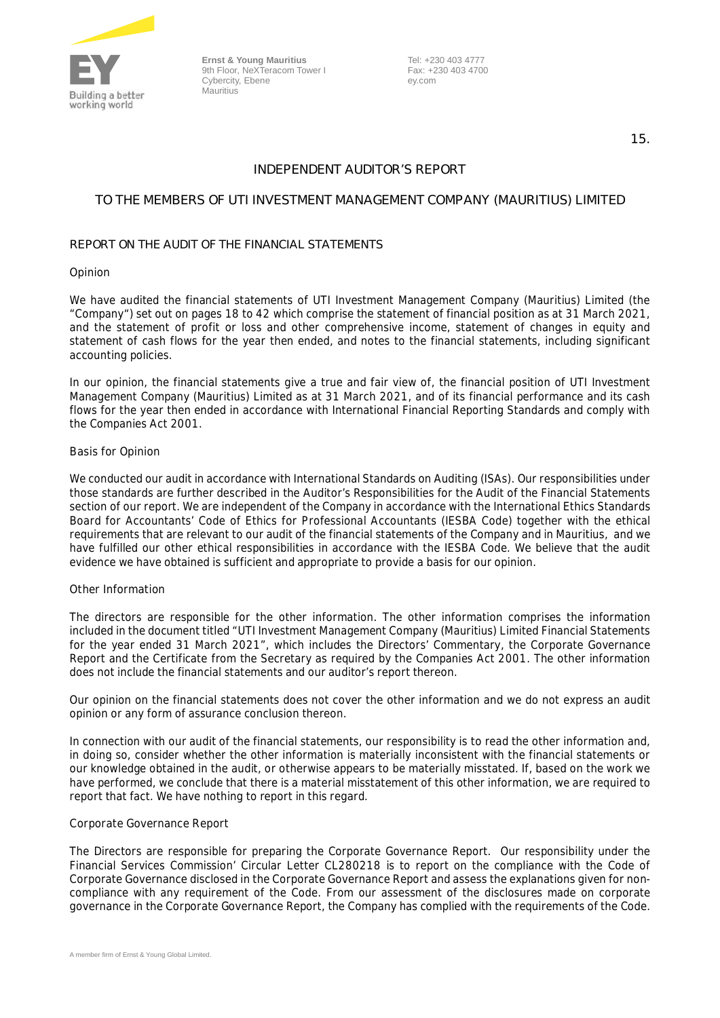

**Ernst & Young Mauritius** 9th Floor, NeXTeracom Tower I Cybercity, Ebene Mauritius

Tel: +230 403 4777 Fax: +230 403 4700 ey.com

**15.**

# **INDEPENDENT AUDITOR'S REPORT**

## **TO THE MEMBERS OF UTI INVESTMENT MANAGEMENT COMPANY (MAURITIUS) LIMITED**

## **REPORT ON THE AUDIT OF THE FINANCIAL STATEMENTS**

#### **Opinion**

We have audited the financial statements of UTI Investment Management Company (Mauritius) Limited (the "Company") set out on pages 18 to 42 which comprise the statement of financial position as at 31 March 2021, and the statement of profit or loss and other comprehensive income, statement of changes in equity and statement of cash flows for the year then ended, and notes to the financial statements, including significant accounting policies.

In our opinion, the financial statements give a true and fair view of, the financial position of UTI Investment Management Company (Mauritius) Limited as at 31 March 2021, and of its financial performance and its cash flows for the year then ended in accordance with International Financial Reporting Standards and comply with the Companies Act 2001.

#### **Basis for Opinion**

We conducted our audit in accordance with International Standards on Auditing (ISAs). Our responsibilities under those standards are further described in the Auditor's Responsibilities for the Audit of the Financial Statements section of our report. We are independent of the Company in accordance with the International Ethics Standards Board for Accountants' Code of Ethics for Professional Accountants (IESBA Code) together with the ethical requirements that are relevant to our audit of the financial statements of the Company and in Mauritius, and we have fulfilled our other ethical responsibilities in accordance with the IESBA Code. We believe that the audit evidence we have obtained is sufficient and appropriate to provide a basis for our opinion.

#### **Other Information**

The directors are responsible for the other information. The other information comprises the information included in the document titled "UTI Investment Management Company (Mauritius) Limited Financial Statements for the year ended 31 March 2021", which includes the Directors' Commentary, the Corporate Governance Report and the Certificate from the Secretary as required by the Companies Act 2001. The other information does not include the financial statements and our auditor's report thereon.

Our opinion on the financial statements does not cover the other information and we do not express an audit opinion or any form of assurance conclusion thereon.

In connection with our audit of the financial statements, our responsibility is to read the other information and, in doing so, consider whether the other information is materially inconsistent with the financial statements or our knowledge obtained in the audit, or otherwise appears to be materially misstated. If, based on the work we have performed, we conclude that there is a material misstatement of this other information, we are required to report that fact. We have nothing to report in this regard.

#### **Corporate Governance Report**

The Directors are responsible for preparing the Corporate Governance Report. Our responsibility under the Financial Services Commission' Circular Letter CL280218 is to report on the compliance with the Code of Corporate Governance disclosed in the Corporate Governance Report and assess the explanations given for noncompliance with any requirement of the Code. From our assessment of the disclosures made on corporate governance in the Corporate Governance Report, the Company has complied with the requirements of the Code.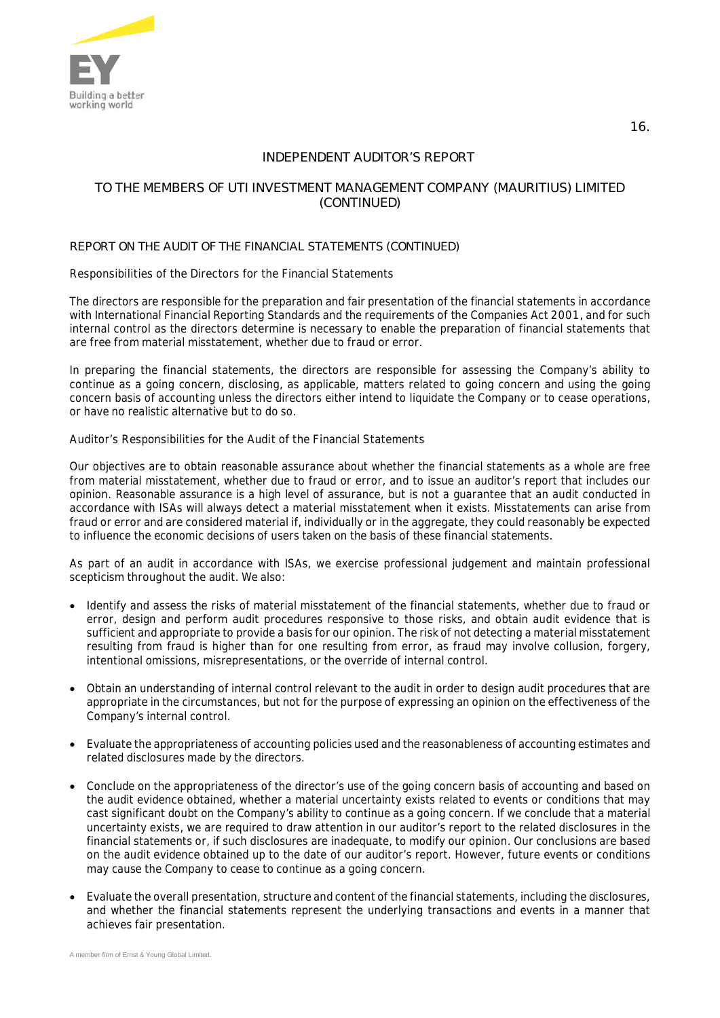

## **INDEPENDENT AUDITOR'S REPORT**

# **TO THE MEMBERS OF UTI INVESTMENT MANAGEMENT COMPANY (MAURITIUS) LIMITED (CONTINUED)**

## **REPORT ON THE AUDIT OF THE FINANCIAL STATEMENTS (CONTINUED)**

#### **Responsibilities of the Directors for the Financial Statements**

The directors are responsible for the preparation and fair presentation of the financial statements in accordance with International Financial Reporting Standards and the requirements of the Companies Act 2001**,** and for such internal control as the directors determine is necessary to enable the preparation of financial statements that are free from material misstatement, whether due to fraud or error.

In preparing the financial statements, the directors are responsible for assessing the Company's ability to continue as a going concern, disclosing, as applicable, matters related to going concern and using the going concern basis of accounting unless the directors either intend to liquidate the Company or to cease operations, or have no realistic alternative but to do so.

**Auditor's Responsibilities for the Audit of the Financial Statements**

Our objectives are to obtain reasonable assurance about whether the financial statements as a whole are free from material misstatement, whether due to fraud or error, and to issue an auditor's report that includes our opinion. Reasonable assurance is a high level of assurance, but is not a guarantee that an audit conducted in accordance with ISAs will always detect a material misstatement when it exists. Misstatements can arise from fraud or error and are considered material if, individually or in the aggregate, they could reasonably be expected to influence the economic decisions of users taken on the basis of these financial statements.

As part of an audit in accordance with ISAs, we exercise professional judgement and maintain professional scepticism throughout the audit. We also:

- · Identify and assess the risks of material misstatement of the financial statements, whether due to fraud or error, design and perform audit procedures responsive to those risks, and obtain audit evidence that is sufficient and appropriate to provide a basis for our opinion. The risk of not detecting a material misstatement resulting from fraud is higher than for one resulting from error, as fraud may involve collusion, forgery, intentional omissions, misrepresentations, or the override of internal control.
- · Obtain an understanding of internal control relevant to the audit in order to design audit procedures that are appropriate in the circumstances, but not for the purpose of expressing an opinion on the effectiveness of the Company's internal control.
- · Evaluate the appropriateness of accounting policies used and the reasonableness of accounting estimates and related disclosures made by the directors.
- · Conclude on the appropriateness of the director's use of the going concern basis of accounting and based on the audit evidence obtained, whether a material uncertainty exists related to events or conditions that may cast significant doubt on the Company's ability to continue as a going concern. If we conclude that a material uncertainty exists, we are required to draw attention in our auditor's report to the related disclosures in the financial statements or, if such disclosures are inadequate, to modify our opinion. Our conclusions are based on the audit evidence obtained up to the date of our auditor's report. However, future events or conditions may cause the Company to cease to continue as a going concern.
- · Evaluate the overall presentation, structure and content of the financial statements, including the disclosures, and whether the financial statements represent the underlying transactions and events in a manner that achieves fair presentation.

**16.**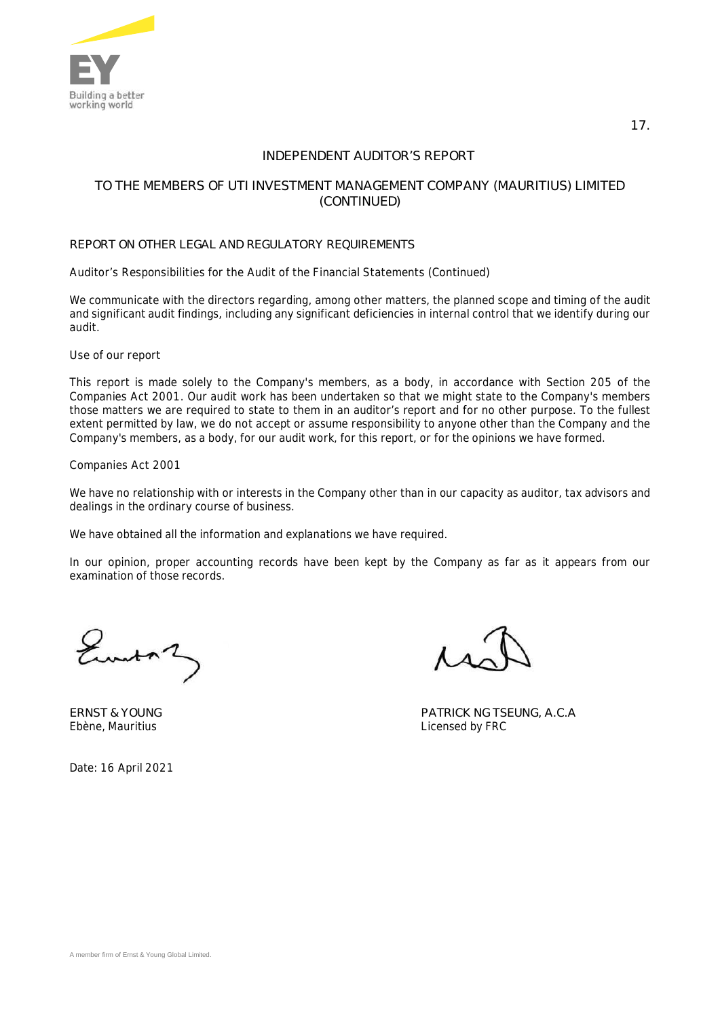

# **INDEPENDENT AUDITOR'S REPORT**

# **TO THE MEMBERS OF UTI INVESTMENT MANAGEMENT COMPANY (MAURITIUS) LIMITED (CONTINUED)**

## **REPORT ON OTHER LEGAL AND REGULATORY REQUIREMENTS**

**Auditor's Responsibilities for the Audit of the Financial Statements (Continued)**

We communicate with the directors regarding, among other matters, the planned scope and timing of the audit and significant audit findings, including any significant deficiencies in internal control that we identify during our audit.

**Use of our report**

This report is made solely to the Company's members, as a body, in accordance with Section 205 of the Companies Act 2001. Our audit work has been undertaken so that we might state to the Company's members those matters we are required to state to them in an auditor's report and for no other purpose. To the fullest extent permitted by law, we do not accept or assume responsibility to anyone other than the Company and the Company's members, as a body, for our audit work, for this report, or for the opinions we have formed.

**Companies Act 2001**

We have no relationship with or interests in the Company other than in our capacity as auditor, tax advisors and dealings in the ordinary course of business.

We have obtained all the information and explanations we have required.

In our opinion, proper accounting records have been kept by the Company as far as it appears from our examination of those records.

with 2

Ebène, Mauritius Licensed by FRC

Date: 16 April 2021

**ERNST & YOUNG PATRICK NG TSEUNG, A.C.A**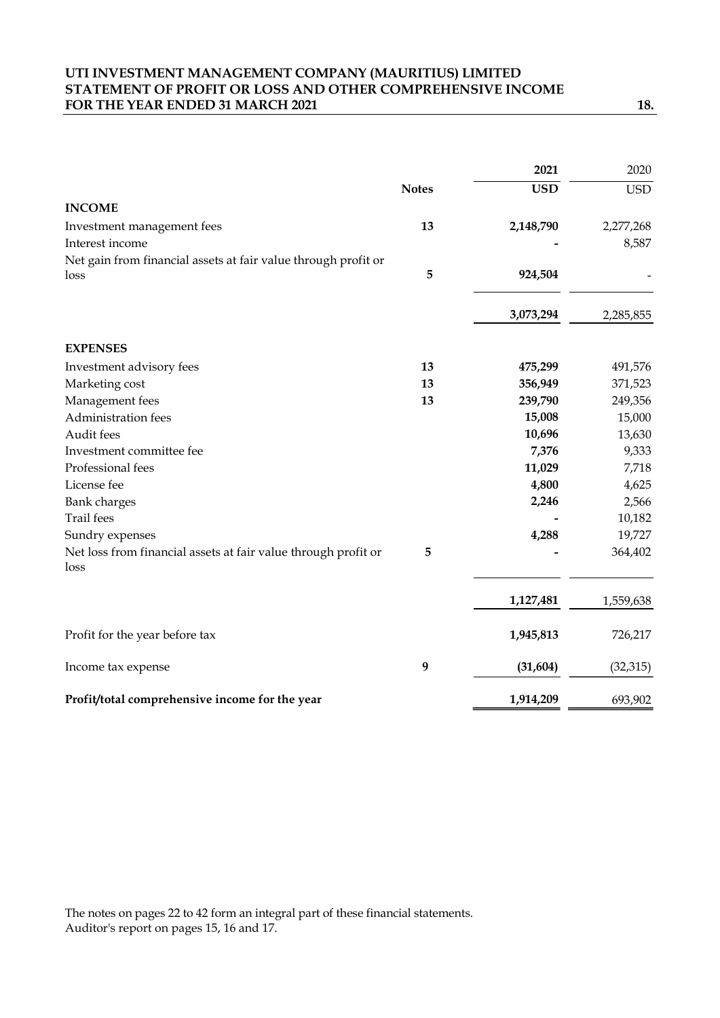# UTI INVESTMENT MANAGEMENT COMPANY (MAURITIUS) LIMITED STATEMENT OF PROFIT OR LOSS AND OTHER COMPREHENSIVE INCOME FOR THE YEAR ENDED 31 MARCH 2021 18.

|                                                                        |              | 2021       | 2020       |
|------------------------------------------------------------------------|--------------|------------|------------|
|                                                                        | <b>Notes</b> | <b>USD</b> | <b>USD</b> |
| <b>INCOME</b>                                                          |              |            |            |
| Investment management fees                                             | 13           | 2,148,790  | 2,277,268  |
| Interest income                                                        |              |            | 8,587      |
| Net gain from financial assets at fair value through profit or         |              |            |            |
| loss                                                                   | 5            | 924,504    |            |
|                                                                        |              | 3,073,294  | 2,285,855  |
| <b>EXPENSES</b>                                                        |              |            |            |
| Investment advisory fees                                               | 13           | 475,299    | 491,576    |
| Marketing cost                                                         | 13           | 356,949    | 371,523    |
| Management fees                                                        | 13           | 239,790    | 249,356    |
| Administration fees                                                    |              | 15,008     | 15,000     |
| Audit fees                                                             |              | 10,696     | 13,630     |
| Investment committee fee                                               |              | 7,376      | 9,333      |
| Professional fees                                                      |              | 11,029     | 7,718      |
| License fee                                                            |              | 4,800      | 4,625      |
| <b>Bank</b> charges                                                    |              | 2,246      | 2,566      |
| <b>Trail fees</b>                                                      |              |            | 10,182     |
| Sundry expenses                                                        |              | 4,288      | 19,727     |
| Net loss from financial assets at fair value through profit or<br>loss | 5            |            | 364,402    |
|                                                                        |              | 1,127,481  | 1,559,638  |
| Profit for the year before tax                                         |              | 1,945,813  | 726,217    |
| Income tax expense                                                     | 9            | (31, 604)  | (32, 315)  |
| Profit/total comprehensive income for the year                         |              | 1,914,209  | 693,902    |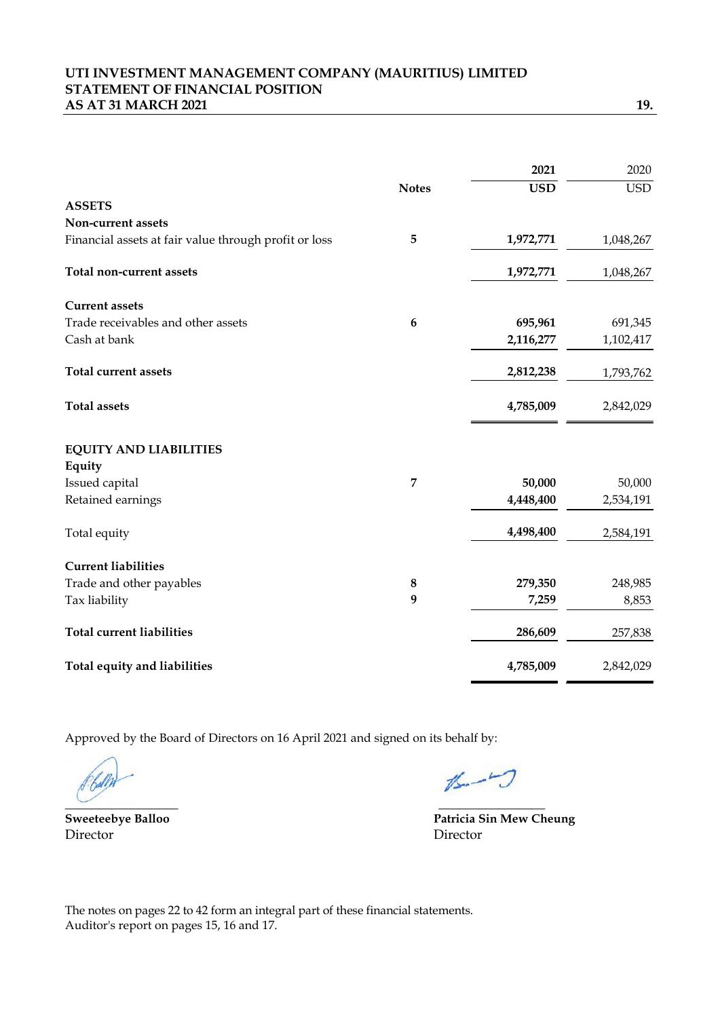# UTI INVESTMENT MANAGEMENT COMPANY (MAURITIUS) LIMITED STATEMENT OF FINANCIAL POSITION AS AT 31 MARCH 2021 19.

|                                                       |              | 2021       | 2020       |
|-------------------------------------------------------|--------------|------------|------------|
|                                                       | <b>Notes</b> | <b>USD</b> | <b>USD</b> |
| <b>ASSETS</b>                                         |              |            |            |
| Non-current assets                                    |              |            |            |
| Financial assets at fair value through profit or loss | 5            | 1,972,771  | 1,048,267  |
| Total non-current assets                              |              | 1,972,771  | 1,048,267  |
| <b>Current assets</b>                                 |              |            |            |
| Trade receivables and other assets                    | 6            | 695,961    | 691,345    |
| Cash at bank                                          |              | 2,116,277  | 1,102,417  |
| <b>Total current assets</b>                           |              | 2,812,238  | 1,793,762  |
| <b>Total assets</b>                                   |              | 4,785,009  | 2,842,029  |
| <b>EQUITY AND LIABILITIES</b>                         |              |            |            |
| Equity                                                |              |            |            |
| Issued capital                                        | 7            | 50,000     | 50,000     |
| Retained earnings                                     |              | 4,448,400  | 2,534,191  |
| Total equity                                          |              | 4,498,400  | 2,584,191  |
| <b>Current liabilities</b>                            |              |            |            |
| Trade and other payables                              | 8            | 279,350    | 248,985    |
| Tax liability                                         | 9            | 7,259      | 8,853      |
| <b>Total current liabilities</b>                      |              | 286,609    | 257,838    |
| Total equity and liabilities                          |              | 4,785,009  | 2,842,029  |
|                                                       |              |            |            |

Approved by the Board of Directors on 16 April 2021 and signed on its behalf by:

 $\overline{\mathcal{L}}$  , and the contract of the contract of the contract of the contract of the contract of the contract of the contract of the contract of the contract of the contract of the contract of the contract of the contrac

 $15 - 47$ 

Sweeteebye Balloo **Patricia Sin Mew Cheung** Director Director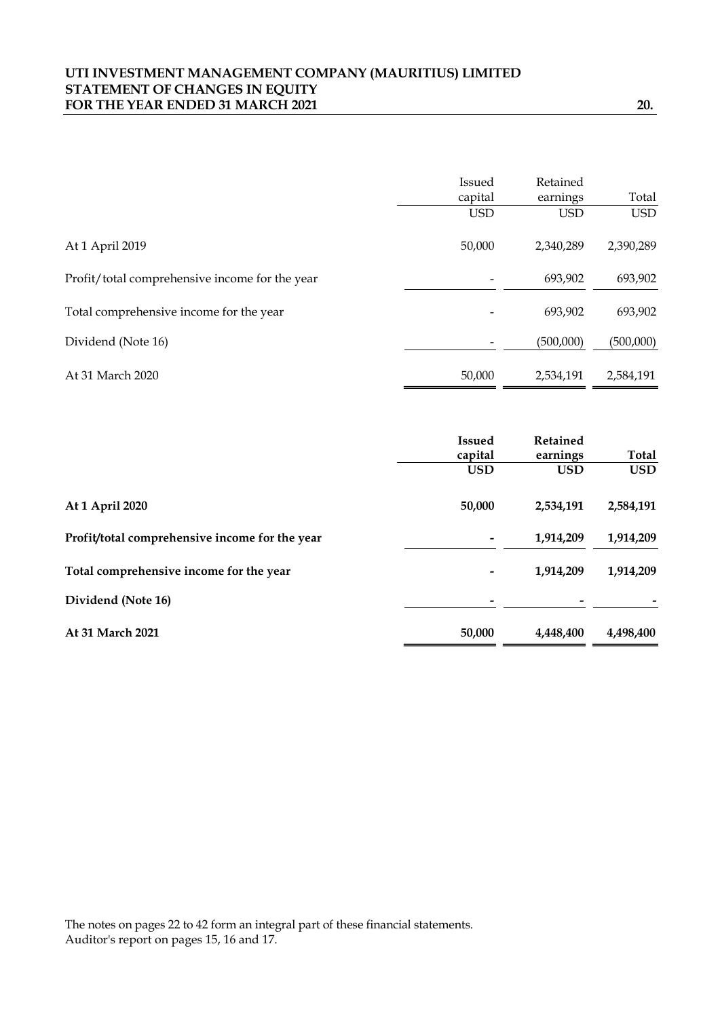# UTI INVESTMENT MANAGEMENT COMPANY (MAURITIUS) LIMITED STATEMENT OF CHANGES IN EQUITY FOR THE YEAR ENDED 31 MARCH 2021 20.

|                                                | Issued<br>capital<br><b>USD</b> | Retained<br>earnings<br><b>USD</b> | Total<br><b>USD</b> |
|------------------------------------------------|---------------------------------|------------------------------------|---------------------|
| At 1 April 2019                                | 50,000                          | 2,340,289                          | 2,390,289           |
| Profit/total comprehensive income for the year |                                 | 693,902                            | 693,902             |
| Total comprehensive income for the year        |                                 | 693,902                            | 693,902             |
| Dividend (Note 16)                             |                                 | (500,000)                          | (500,000)           |
| At 31 March 2020                               | 50,000                          | 2,534,191                          | 2,584,191           |

|                                                | <b>Issued</b> | Retained   |            |
|------------------------------------------------|---------------|------------|------------|
|                                                | capital       | earnings   | Total      |
|                                                | <b>USD</b>    | <b>USD</b> | <b>USD</b> |
| At 1 April 2020                                | 50,000        | 2,534,191  | 2,584,191  |
| Profit/total comprehensive income for the year |               | 1,914,209  | 1,914,209  |
| Total comprehensive income for the year        |               | 1,914,209  | 1,914,209  |
| Dividend (Note 16)                             |               |            |            |
| At 31 March 2021                               | 50,000        | 4,448,400  | 4,498,400  |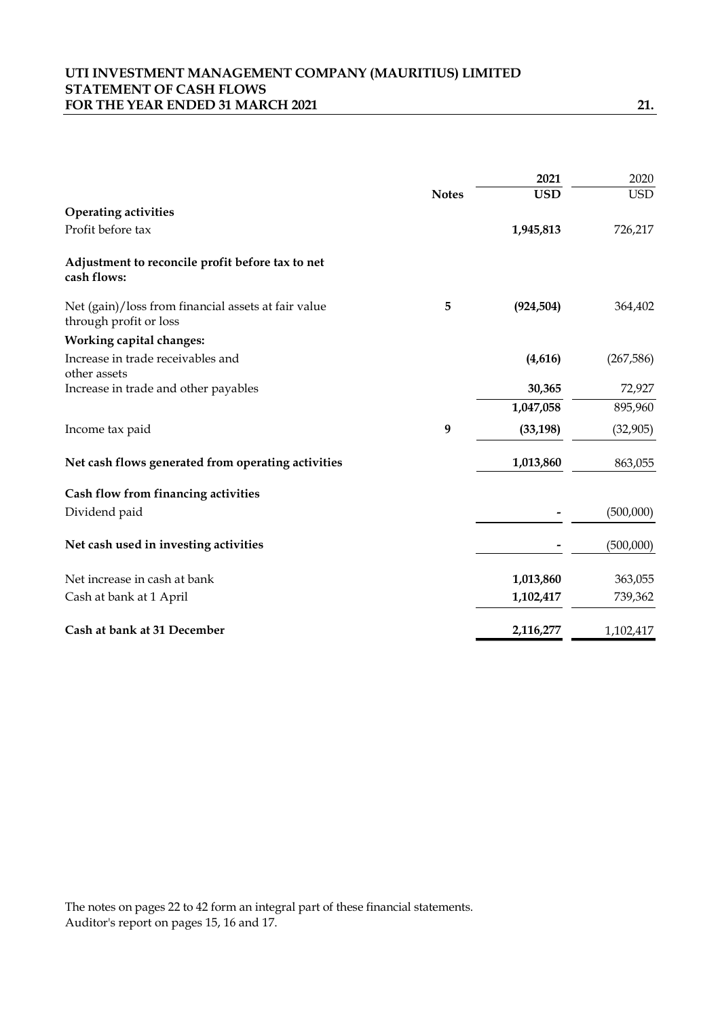# UTI INVESTMENT MANAGEMENT COMPANY (MAURITIUS) LIMITED STATEMENT OF CASH FLOWS FOR THE YEAR ENDED 31 MARCH 2021 21.

|                                                                               |              | 2021       | 2020       |
|-------------------------------------------------------------------------------|--------------|------------|------------|
|                                                                               | <b>Notes</b> | <b>USD</b> | <b>USD</b> |
| <b>Operating activities</b>                                                   |              |            |            |
| Profit before tax                                                             |              | 1,945,813  | 726,217    |
| Adjustment to reconcile profit before tax to net<br>cash flows:               |              |            |            |
| Net (gain)/loss from financial assets at fair value<br>through profit or loss | 5            | (924, 504) | 364,402    |
| <b>Working capital changes:</b>                                               |              |            |            |
| Increase in trade receivables and<br>other assets                             |              | (4,616)    | (267, 586) |
| Increase in trade and other payables                                          |              | 30,365     | 72,927     |
|                                                                               |              | 1,047,058  | 895,960    |
| Income tax paid                                                               | 9            | (33, 198)  | (32,905)   |
| Net cash flows generated from operating activities                            |              | 1,013,860  | 863,055    |
| Cash flow from financing activities                                           |              |            |            |
| Dividend paid                                                                 |              |            | (500,000)  |
| Net cash used in investing activities                                         |              |            | (500,000)  |
| Net increase in cash at bank                                                  |              | 1,013,860  | 363,055    |
| Cash at bank at 1 April                                                       |              | 1,102,417  | 739,362    |
| Cash at bank at 31 December                                                   |              | 2,116,277  | 1,102,417  |
|                                                                               |              |            |            |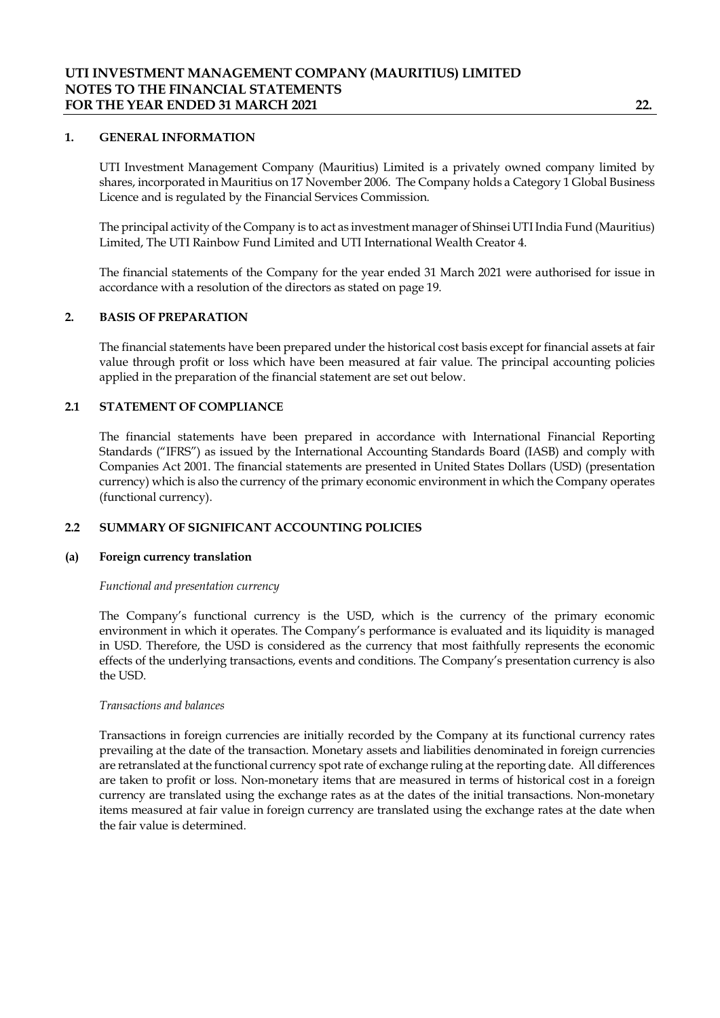#### 1. GENERAL INFORMATION

UTI Investment Management Company (Mauritius) Limited is a privately owned company limited by shares, incorporated in Mauritius on 17 November 2006. The Company holds a Category 1 Global Business Licence and is regulated by the Financial Services Commission.

The principal activity of the Company is to act as investment manager of Shinsei UTI India Fund (Mauritius) Limited, The UTI Rainbow Fund Limited and UTI International Wealth Creator 4.

The financial statements of the Company for the year ended 31 March 2021 were authorised for issue in accordance with a resolution of the directors as stated on page 19.

## 2. BASIS OF PREPARATION

The financial statements have been prepared under the historical cost basis except for financial assets at fair value through profit or loss which have been measured at fair value. The principal accounting policies applied in the preparation of the financial statement are set out below.

## 2.1 STATEMENT OF COMPLIANCE

The financial statements have been prepared in accordance with International Financial Reporting Standards ("IFRS") as issued by the International Accounting Standards Board (IASB) and comply with Companies Act 2001. The financial statements are presented in United States Dollars (USD) (presentation currency) which is also the currency of the primary economic environment in which the Company operates (functional currency).

# 2.2 SUMMARY OF SIGNIFICANT ACCOUNTING POLICIES

#### (a) Foreign currency translation

#### Functional and presentation currency

The Company's functional currency is the USD, which is the currency of the primary economic environment in which it operates. The Company's performance is evaluated and its liquidity is managed in USD. Therefore, the USD is considered as the currency that most faithfully represents the economic effects of the underlying transactions, events and conditions. The Company's presentation currency is also the USD.

#### Transactions and balances

Transactions in foreign currencies are initially recorded by the Company at its functional currency rates prevailing at the date of the transaction. Monetary assets and liabilities denominated in foreign currencies are retranslated at the functional currency spot rate of exchange ruling at the reporting date. All differences are taken to profit or loss. Non-monetary items that are measured in terms of historical cost in a foreign currency are translated using the exchange rates as at the dates of the initial transactions. Non-monetary items measured at fair value in foreign currency are translated using the exchange rates at the date when the fair value is determined.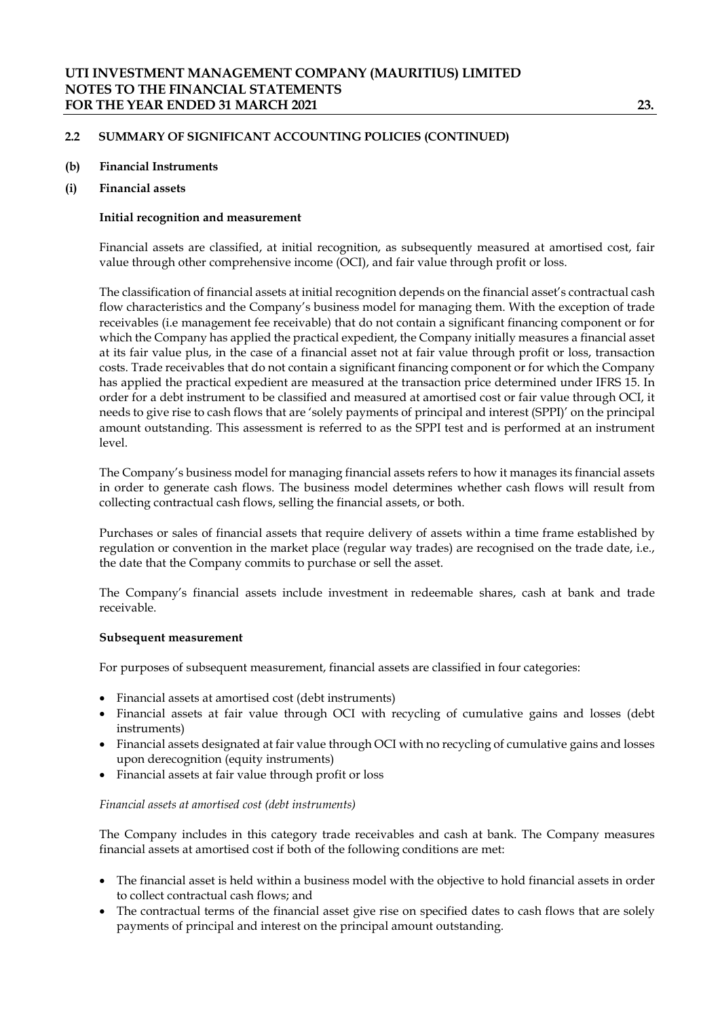(b) Financial Instruments

## (i) Financial assets

## Initial recognition and measurement

Financial assets are classified, at initial recognition, as subsequently measured at amortised cost, fair value through other comprehensive income (OCI), and fair value through profit or loss.

The classification of financial assets at initial recognition depends on the financial asset's contractual cash flow characteristics and the Company's business model for managing them. With the exception of trade receivables (i.e management fee receivable) that do not contain a significant financing component or for which the Company has applied the practical expedient, the Company initially measures a financial asset at its fair value plus, in the case of a financial asset not at fair value through profit or loss, transaction costs. Trade receivables that do not contain a significant financing component or for which the Company has applied the practical expedient are measured at the transaction price determined under IFRS 15. In order for a debt instrument to be classified and measured at amortised cost or fair value through OCI, it needs to give rise to cash flows that are 'solely payments of principal and interest (SPPI)' on the principal amount outstanding. This assessment is referred to as the SPPI test and is performed at an instrument level.

The Company's business model for managing financial assets refers to how it manages its financial assets in order to generate cash flows. The business model determines whether cash flows will result from collecting contractual cash flows, selling the financial assets, or both.

Purchases or sales of financial assets that require delivery of assets within a time frame established by regulation or convention in the market place (regular way trades) are recognised on the trade date, i.e., the date that the Company commits to purchase or sell the asset.

The Company's financial assets include investment in redeemable shares, cash at bank and trade receivable.

#### Subsequent measurement

For purposes of subsequent measurement, financial assets are classified in four categories:

- Financial assets at amortised cost (debt instruments)
- Financial assets at fair value through OCI with recycling of cumulative gains and losses (debt instruments)
- Financial assets designated at fair value through OCI with no recycling of cumulative gains and losses upon derecognition (equity instruments)
- Financial assets at fair value through profit or loss

#### Financial assets at amortised cost (debt instruments)

The Company includes in this category trade receivables and cash at bank. The Company measures financial assets at amortised cost if both of the following conditions are met:

- The financial asset is held within a business model with the objective to hold financial assets in order to collect contractual cash flows; and
- The contractual terms of the financial asset give rise on specified dates to cash flows that are solely payments of principal and interest on the principal amount outstanding.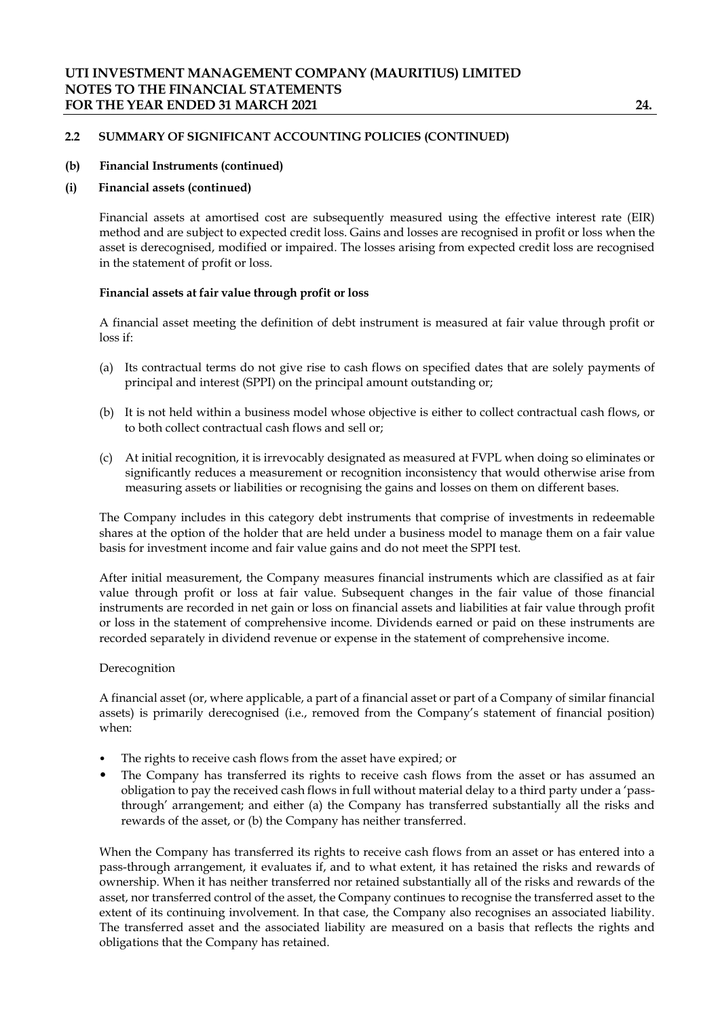## (b) Financial Instruments (continued)

## (i) Financial assets (continued)

Financial assets at amortised cost are subsequently measured using the effective interest rate (EIR) method and are subject to expected credit loss. Gains and losses are recognised in profit or loss when the asset is derecognised, modified or impaired. The losses arising from expected credit loss are recognised in the statement of profit or loss.

## Financial assets at fair value through profit or loss

A financial asset meeting the definition of debt instrument is measured at fair value through profit or loss if:

- (a) Its contractual terms do not give rise to cash flows on specified dates that are solely payments of principal and interest (SPPI) on the principal amount outstanding or;
- (b) It is not held within a business model whose objective is either to collect contractual cash flows, or to both collect contractual cash flows and sell or;
- (c) At initial recognition, it is irrevocably designated as measured at FVPL when doing so eliminates or significantly reduces a measurement or recognition inconsistency that would otherwise arise from measuring assets or liabilities or recognising the gains and losses on them on different bases.

The Company includes in this category debt instruments that comprise of investments in redeemable shares at the option of the holder that are held under a business model to manage them on a fair value basis for investment income and fair value gains and do not meet the SPPI test.

After initial measurement, the Company measures financial instruments which are classified as at fair value through profit or loss at fair value. Subsequent changes in the fair value of those financial instruments are recorded in net gain or loss on financial assets and liabilities at fair value through profit or loss in the statement of comprehensive income. Dividends earned or paid on these instruments are recorded separately in dividend revenue or expense in the statement of comprehensive income.

## Derecognition

A financial asset (or, where applicable, a part of a financial asset or part of a Company of similar financial assets) is primarily derecognised (i.e., removed from the Company's statement of financial position) when:

- The rights to receive cash flows from the asset have expired; or
- The Company has transferred its rights to receive cash flows from the asset or has assumed an obligation to pay the received cash flows in full without material delay to a third party under a 'passthrough' arrangement; and either (a) the Company has transferred substantially all the risks and rewards of the asset, or (b) the Company has neither transferred.

When the Company has transferred its rights to receive cash flows from an asset or has entered into a pass-through arrangement, it evaluates if, and to what extent, it has retained the risks and rewards of ownership. When it has neither transferred nor retained substantially all of the risks and rewards of the asset, nor transferred control of the asset, the Company continues to recognise the transferred asset to the extent of its continuing involvement. In that case, the Company also recognises an associated liability. The transferred asset and the associated liability are measured on a basis that reflects the rights and obligations that the Company has retained.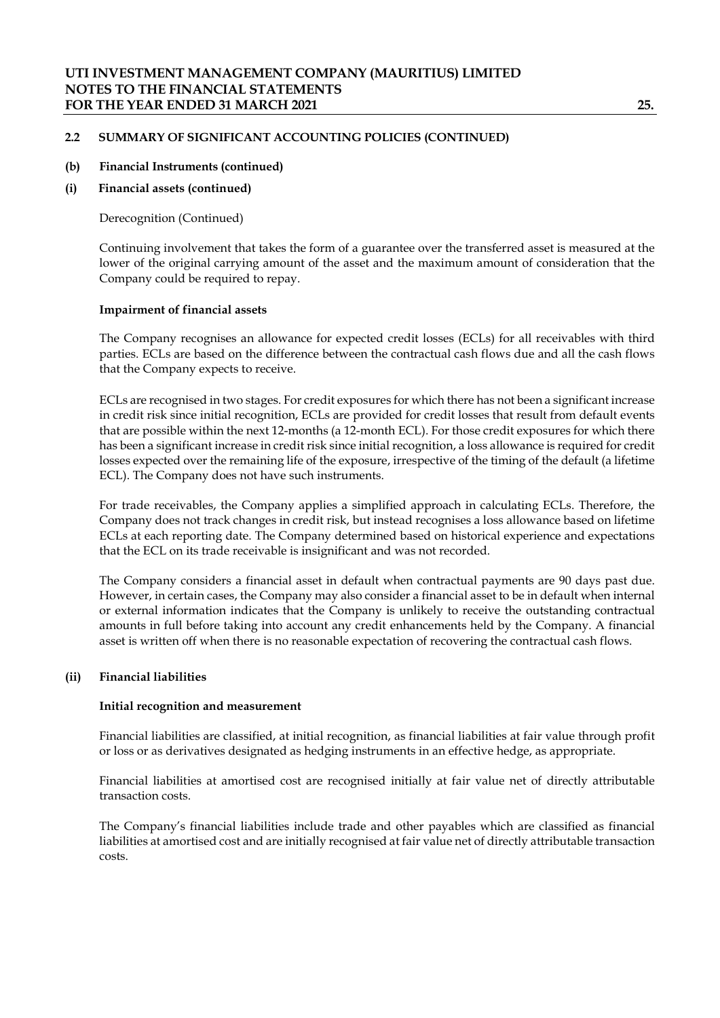## (b) Financial Instruments (continued)

## (i) Financial assets (continued)

Derecognition (Continued)

Continuing involvement that takes the form of a guarantee over the transferred asset is measured at the lower of the original carrying amount of the asset and the maximum amount of consideration that the Company could be required to repay.

#### Impairment of financial assets

The Company recognises an allowance for expected credit losses (ECLs) for all receivables with third parties. ECLs are based on the difference between the contractual cash flows due and all the cash flows that the Company expects to receive.

ECLs are recognised in two stages. For credit exposures for which there has not been a significant increase in credit risk since initial recognition, ECLs are provided for credit losses that result from default events that are possible within the next 12-months (a 12-month ECL). For those credit exposures for which there has been a significant increase in credit risk since initial recognition, a loss allowance is required for credit losses expected over the remaining life of the exposure, irrespective of the timing of the default (a lifetime ECL). The Company does not have such instruments.

For trade receivables, the Company applies a simplified approach in calculating ECLs. Therefore, the Company does not track changes in credit risk, but instead recognises a loss allowance based on lifetime ECLs at each reporting date. The Company determined based on historical experience and expectations that the ECL on its trade receivable is insignificant and was not recorded.

The Company considers a financial asset in default when contractual payments are 90 days past due. However, in certain cases, the Company may also consider a financial asset to be in default when internal or external information indicates that the Company is unlikely to receive the outstanding contractual amounts in full before taking into account any credit enhancements held by the Company. A financial asset is written off when there is no reasonable expectation of recovering the contractual cash flows.

## (ii) Financial liabilities

#### Initial recognition and measurement

Financial liabilities are classified, at initial recognition, as financial liabilities at fair value through profit or loss or as derivatives designated as hedging instruments in an effective hedge, as appropriate.

Financial liabilities at amortised cost are recognised initially at fair value net of directly attributable transaction costs.

The Company's financial liabilities include trade and other payables which are classified as financial liabilities at amortised cost and are initially recognised at fair value net of directly attributable transaction costs.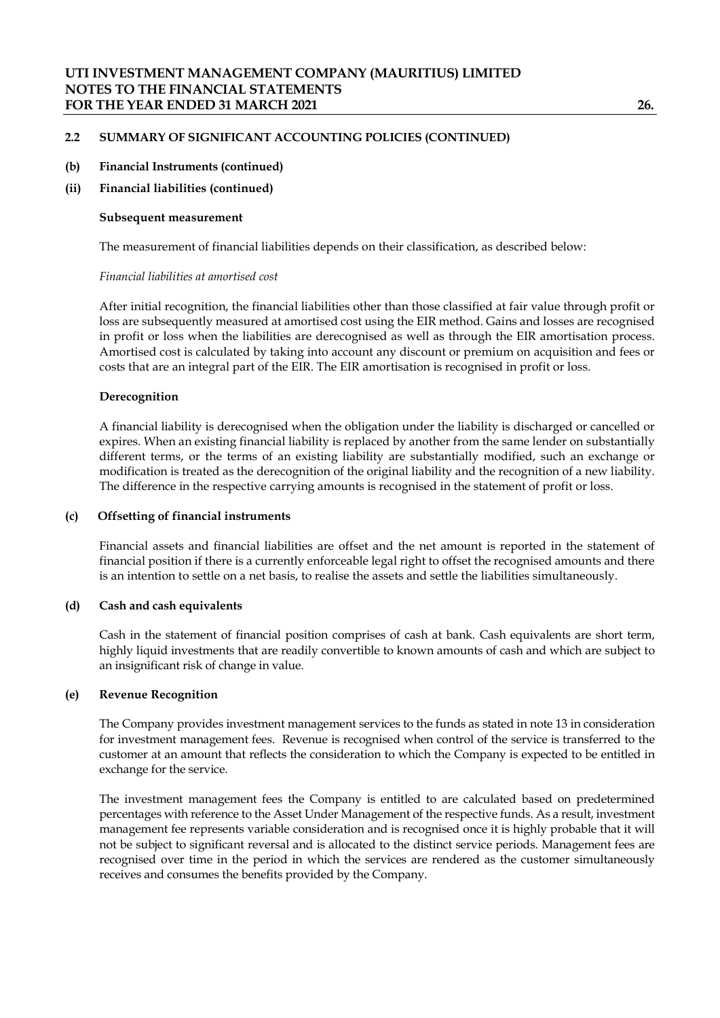(b) Financial Instruments (continued)

#### (ii) Financial liabilities (continued)

#### Subsequent measurement

The measurement of financial liabilities depends on their classification, as described below:

#### Financial liabilities at amortised cost

After initial recognition, the financial liabilities other than those classified at fair value through profit or loss are subsequently measured at amortised cost using the EIR method. Gains and losses are recognised in profit or loss when the liabilities are derecognised as well as through the EIR amortisation process. Amortised cost is calculated by taking into account any discount or premium on acquisition and fees or costs that are an integral part of the EIR. The EIR amortisation is recognised in profit or loss.

#### Derecognition

A financial liability is derecognised when the obligation under the liability is discharged or cancelled or expires. When an existing financial liability is replaced by another from the same lender on substantially different terms, or the terms of an existing liability are substantially modified, such an exchange or modification is treated as the derecognition of the original liability and the recognition of a new liability. The difference in the respective carrying amounts is recognised in the statement of profit or loss.

## (c) Offsetting of financial instruments

Financial assets and financial liabilities are offset and the net amount is reported in the statement of financial position if there is a currently enforceable legal right to offset the recognised amounts and there is an intention to settle on a net basis, to realise the assets and settle the liabilities simultaneously.

#### (d) Cash and cash equivalents

Cash in the statement of financial position comprises of cash at bank. Cash equivalents are short term, highly liquid investments that are readily convertible to known amounts of cash and which are subject to an insignificant risk of change in value.

#### (e) Revenue Recognition

The Company provides investment management services to the funds as stated in note 13 in consideration for investment management fees. Revenue is recognised when control of the service is transferred to the customer at an amount that reflects the consideration to which the Company is expected to be entitled in exchange for the service.

The investment management fees the Company is entitled to are calculated based on predetermined percentages with reference to the Asset Under Management of the respective funds. As a result, investment management fee represents variable consideration and is recognised once it is highly probable that it will not be subject to significant reversal and is allocated to the distinct service periods. Management fees are recognised over time in the period in which the services are rendered as the customer simultaneously receives and consumes the benefits provided by the Company.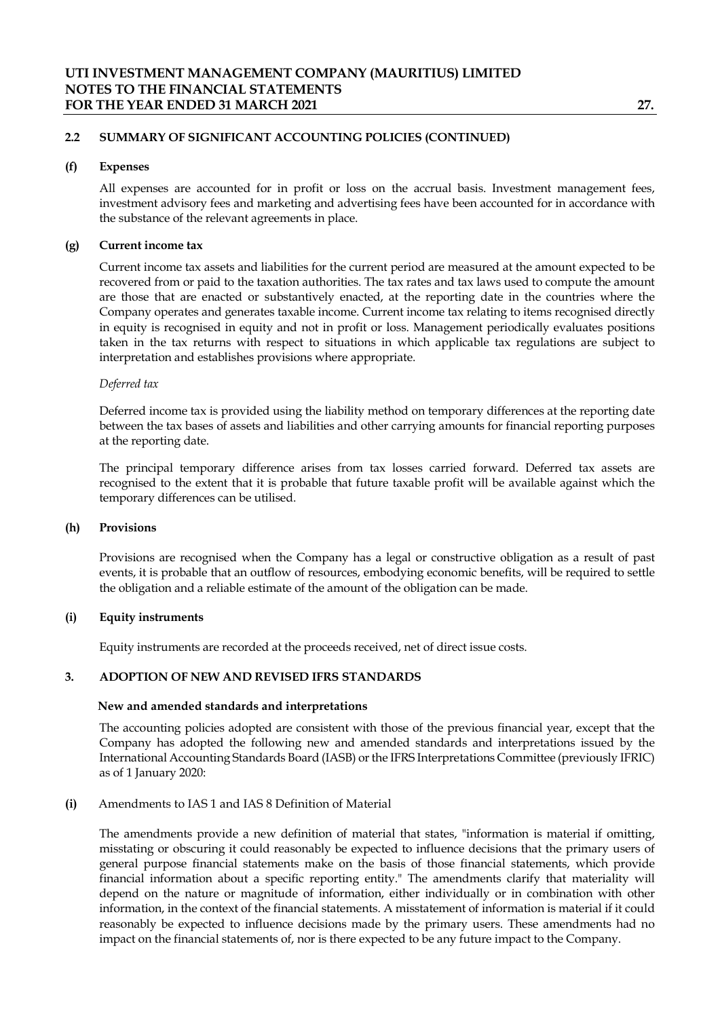## (f) Expenses

All expenses are accounted for in profit or loss on the accrual basis. Investment management fees, investment advisory fees and marketing and advertising fees have been accounted for in accordance with the substance of the relevant agreements in place.

#### (g) Current income tax

Current income tax assets and liabilities for the current period are measured at the amount expected to be recovered from or paid to the taxation authorities. The tax rates and tax laws used to compute the amount are those that are enacted or substantively enacted, at the reporting date in the countries where the Company operates and generates taxable income. Current income tax relating to items recognised directly in equity is recognised in equity and not in profit or loss. Management periodically evaluates positions taken in the tax returns with respect to situations in which applicable tax regulations are subject to interpretation and establishes provisions where appropriate.

#### Deferred tax

Deferred income tax is provided using the liability method on temporary differences at the reporting date between the tax bases of assets and liabilities and other carrying amounts for financial reporting purposes at the reporting date.

The principal temporary difference arises from tax losses carried forward. Deferred tax assets are recognised to the extent that it is probable that future taxable profit will be available against which the temporary differences can be utilised.

#### (h) Provisions

Provisions are recognised when the Company has a legal or constructive obligation as a result of past events, it is probable that an outflow of resources, embodying economic benefits, will be required to settle the obligation and a reliable estimate of the amount of the obligation can be made.

## (i) Equity instruments

Equity instruments are recorded at the proceeds received, net of direct issue costs.

## 3. ADOPTION OF NEW AND REVISED IFRS STANDARDS

#### New and amended standards and interpretations

The accounting policies adopted are consistent with those of the previous financial year, except that the Company has adopted the following new and amended standards and interpretations issued by the International Accounting Standards Board (IASB) or the IFRS Interpretations Committee (previously IFRIC) as of 1 January 2020:

#### (i) Amendments to IAS 1 and IAS 8 Definition of Material

The amendments provide a new definition of material that states, "information is material if omitting, misstating or obscuring it could reasonably be expected to influence decisions that the primary users of general purpose financial statements make on the basis of those financial statements, which provide financial information about a specific reporting entity." The amendments clarify that materiality will depend on the nature or magnitude of information, either individually or in combination with other information, in the context of the financial statements. A misstatement of information is material if it could reasonably be expected to influence decisions made by the primary users. These amendments had no impact on the financial statements of, nor is there expected to be any future impact to the Company.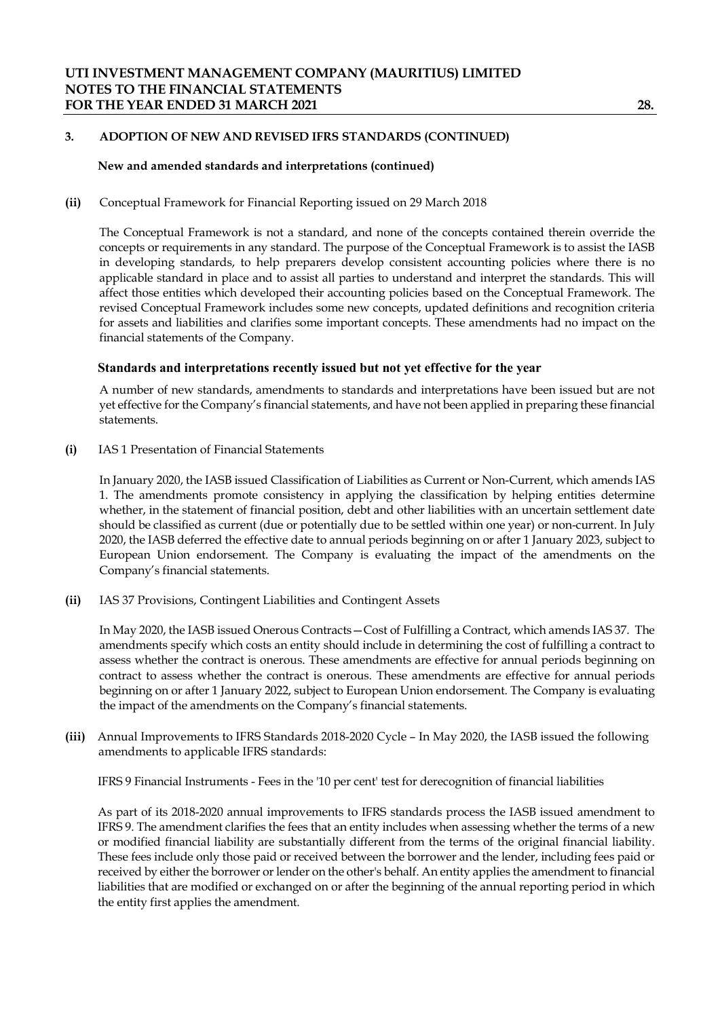# 3. ADOPTION OF NEW AND REVISED IFRS STANDARDS (CONTINUED)

## New and amended standards and interpretations (continued)

#### (ii) Conceptual Framework for Financial Reporting issued on 29 March 2018

The Conceptual Framework is not a standard, and none of the concepts contained therein override the concepts or requirements in any standard. The purpose of the Conceptual Framework is to assist the IASB in developing standards, to help preparers develop consistent accounting policies where there is no applicable standard in place and to assist all parties to understand and interpret the standards. This will affect those entities which developed their accounting policies based on the Conceptual Framework. The revised Conceptual Framework includes some new concepts, updated definitions and recognition criteria for assets and liabilities and clarifies some important concepts. These amendments had no impact on the financial statements of the Company.

## Standards and interpretations recently issued but not yet effective for the year

A number of new standards, amendments to standards and interpretations have been issued but are not yet effective for the Company's financial statements, and have not been applied in preparing these financial statements.

(i) IAS 1 Presentation of Financial Statements

In January 2020, the IASB issued Classification of Liabilities as Current or Non-Current, which amends IAS 1. The amendments promote consistency in applying the classification by helping entities determine whether, in the statement of financial position, debt and other liabilities with an uncertain settlement date should be classified as current (due or potentially due to be settled within one year) or non-current. In July 2020, the IASB deferred the effective date to annual periods beginning on or after 1 January 2023, subject to European Union endorsement. The Company is evaluating the impact of the amendments on the Company's financial statements.

(ii) IAS 37 Provisions, Contingent Liabilities and Contingent Assets

In May 2020, the IASB issued Onerous Contracts—Cost of Fulfilling a Contract, which amends IAS 37. The amendments specify which costs an entity should include in determining the cost of fulfilling a contract to assess whether the contract is onerous. These amendments are effective for annual periods beginning on contract to assess whether the contract is onerous. These amendments are effective for annual periods beginning on or after 1 January 2022, subject to European Union endorsement. The Company is evaluating the impact of the amendments on the Company's financial statements.

(iii) Annual Improvements to IFRS Standards 2018-2020 Cycle – In May 2020, the IASB issued the following amendments to applicable IFRS standards:

IFRS 9 Financial Instruments - Fees in the '10 per cent' test for derecognition of financial liabilities

As part of its 2018-2020 annual improvements to IFRS standards process the IASB issued amendment to IFRS 9. The amendment clarifies the fees that an entity includes when assessing whether the terms of a new or modified financial liability are substantially different from the terms of the original financial liability. These fees include only those paid or received between the borrower and the lender, including fees paid or received by either the borrower or lender on the other's behalf. An entity applies the amendment to financial liabilities that are modified or exchanged on or after the beginning of the annual reporting period in which the entity first applies the amendment.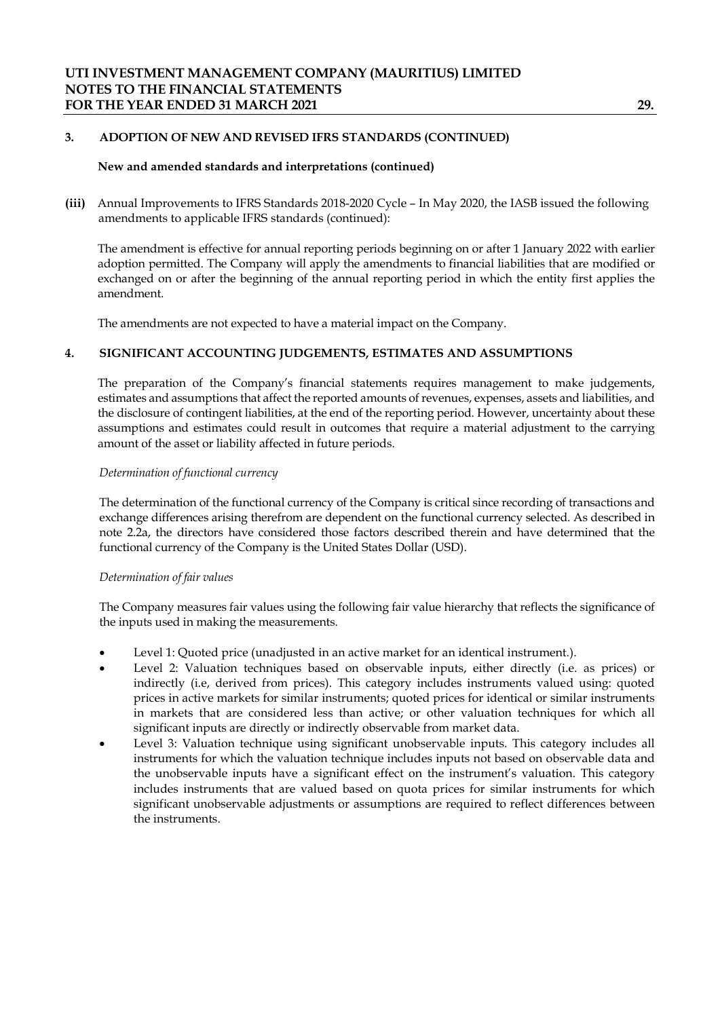## 3. ADOPTION OF NEW AND REVISED IFRS STANDARDS (CONTINUED)

## New and amended standards and interpretations (continued)

(iii) Annual Improvements to IFRS Standards 2018-2020 Cycle – In May 2020, the IASB issued the following amendments to applicable IFRS standards (continued):

The amendment is effective for annual reporting periods beginning on or after 1 January 2022 with earlier adoption permitted. The Company will apply the amendments to financial liabilities that are modified or exchanged on or after the beginning of the annual reporting period in which the entity first applies the amendment.

The amendments are not expected to have a material impact on the Company.

## 4. SIGNIFICANT ACCOUNTING JUDGEMENTS, ESTIMATES AND ASSUMPTIONS

The preparation of the Company's financial statements requires management to make judgements, estimates and assumptions that affect the reported amounts of revenues, expenses, assets and liabilities, and the disclosure of contingent liabilities, at the end of the reporting period. However, uncertainty about these assumptions and estimates could result in outcomes that require a material adjustment to the carrying amount of the asset or liability affected in future periods.

## Determination of functional currency

The determination of the functional currency of the Company is critical since recording of transactions and exchange differences arising therefrom are dependent on the functional currency selected. As described in note 2.2a, the directors have considered those factors described therein and have determined that the functional currency of the Company is the United States Dollar (USD).

#### Determination of fair values

The Company measures fair values using the following fair value hierarchy that reflects the significance of the inputs used in making the measurements.

- Level 1: Quoted price (unadjusted in an active market for an identical instrument.).
- Level 2: Valuation techniques based on observable inputs, either directly (i.e. as prices) or indirectly (i.e, derived from prices). This category includes instruments valued using: quoted prices in active markets for similar instruments; quoted prices for identical or similar instruments in markets that are considered less than active; or other valuation techniques for which all significant inputs are directly or indirectly observable from market data.
- Level 3: Valuation technique using significant unobservable inputs. This category includes all instruments for which the valuation technique includes inputs not based on observable data and the unobservable inputs have a significant effect on the instrument's valuation. This category includes instruments that are valued based on quota prices for similar instruments for which significant unobservable adjustments or assumptions are required to reflect differences between the instruments.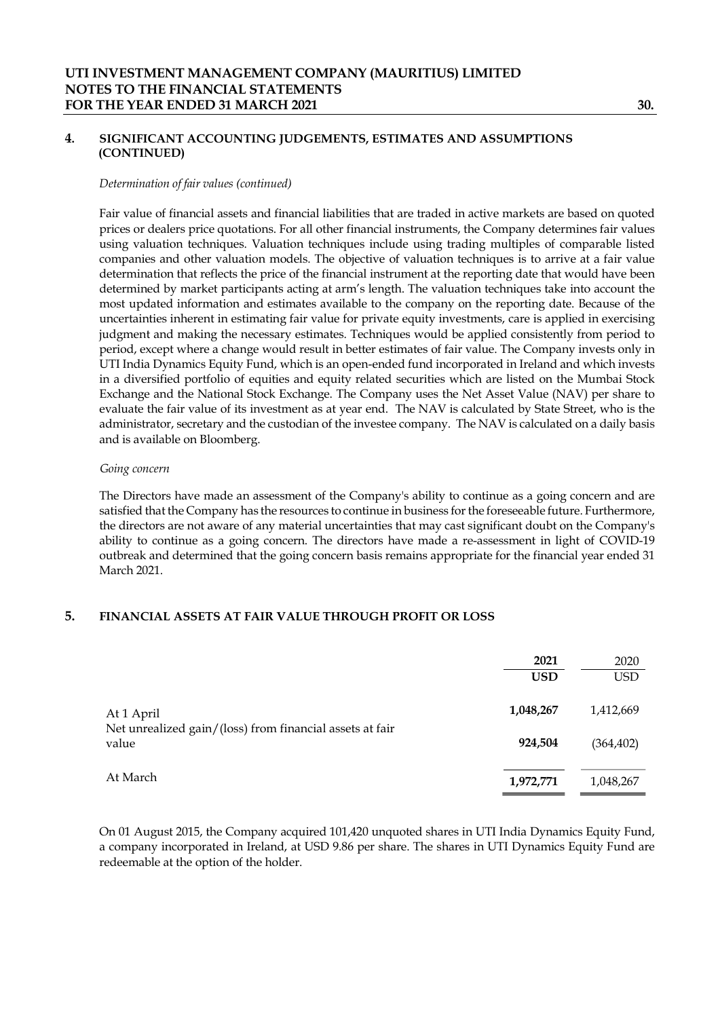# 4. SIGNIFICANT ACCOUNTING JUDGEMENTS, ESTIMATES AND ASSUMPTIONS (CONTINUED)

#### Determination of fair values (continued)

Fair value of financial assets and financial liabilities that are traded in active markets are based on quoted prices or dealers price quotations. For all other financial instruments, the Company determines fair values using valuation techniques. Valuation techniques include using trading multiples of comparable listed companies and other valuation models. The objective of valuation techniques is to arrive at a fair value determination that reflects the price of the financial instrument at the reporting date that would have been determined by market participants acting at arm's length. The valuation techniques take into account the most updated information and estimates available to the company on the reporting date. Because of the uncertainties inherent in estimating fair value for private equity investments, care is applied in exercising judgment and making the necessary estimates. Techniques would be applied consistently from period to period, except where a change would result in better estimates of fair value. The Company invests only in UTI India Dynamics Equity Fund, which is an open-ended fund incorporated in Ireland and which invests in a diversified portfolio of equities and equity related securities which are listed on the Mumbai Stock Exchange and the National Stock Exchange. The Company uses the Net Asset Value (NAV) per share to evaluate the fair value of its investment as at year end. The NAV is calculated by State Street, who is the administrator, secretary and the custodian of the investee company. The NAV is calculated on a daily basis and is available on Bloomberg.

#### Going concern

The Directors have made an assessment of the Company's ability to continue as a going concern and are satisfied that the Company has the resources to continue in business for the foreseeable future. Furthermore, the directors are not aware of any material uncertainties that may cast significant doubt on the Company's ability to continue as a going concern. The directors have made a re-assessment in light of COVID-19 outbreak and determined that the going concern basis remains appropriate for the financial year ended 31 March 2021.

## 5. FINANCIAL ASSETS AT FAIR VALUE THROUGH PROFIT OR LOSS

|                                                                   | 2021       | 2020       |
|-------------------------------------------------------------------|------------|------------|
|                                                                   | <b>USD</b> | <b>USD</b> |
| At 1 April                                                        | 1,048,267  | 1,412,669  |
| Net unrealized gain/(loss) from financial assets at fair<br>value | 924,504    | (364, 402) |
| At March                                                          | 1,972,771  | 1,048,267  |

On 01 August 2015, the Company acquired 101,420 unquoted shares in UTI India Dynamics Equity Fund, a company incorporated in Ireland, at USD 9.86 per share. The shares in UTI Dynamics Equity Fund are redeemable at the option of the holder.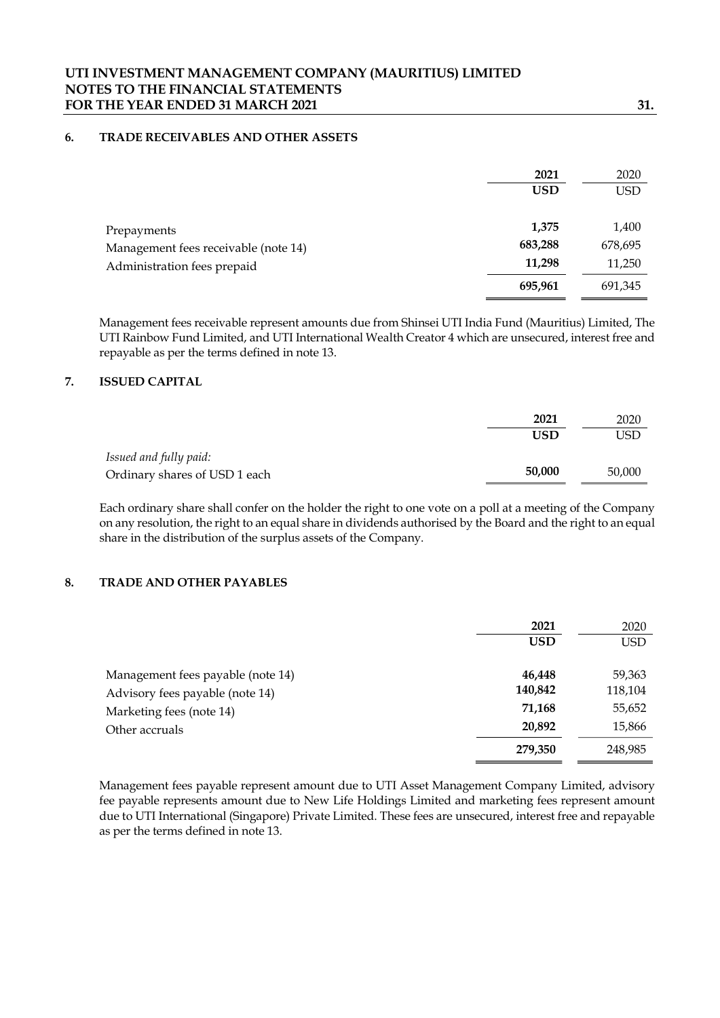# UTI INVESTMENT MANAGEMENT COMPANY (MAURITIUS) LIMITED NOTES TO THE FINANCIAL STATEMENTS FOR THE YEAR ENDED 31 MARCH 2021 31.

## 6. TRADE RECEIVABLES AND OTHER ASSETS

|                                      | 2021       | 2020       |
|--------------------------------------|------------|------------|
|                                      | <b>USD</b> | <b>USD</b> |
|                                      |            |            |
| Prepayments                          | 1,375      | 1,400      |
| Management fees receivable (note 14) | 683,288    | 678,695    |
| Administration fees prepaid          | 11,298     | 11,250     |
|                                      | 695,961    | 691,345    |

Management fees receivable represent amounts due from Shinsei UTI India Fund (Mauritius) Limited, The UTI Rainbow Fund Limited, and UTI International Wealth Creator 4 which are unsecured, interest free and repayable as per the terms defined in note 13.

# 7. ISSUED CAPITAL

|                               | 2021   | 2020   |
|-------------------------------|--------|--------|
|                               | USD    | USD    |
| Issued and fully paid:        |        |        |
| Ordinary shares of USD 1 each | 50,000 | 50,000 |

Each ordinary share shall confer on the holder the right to one vote on a poll at a meeting of the Company on any resolution, the right to an equal share in dividends authorised by the Board and the right to an equal share in the distribution of the surplus assets of the Company.

# 8. TRADE AND OTHER PAYABLES

|                                   | 2021<br><b>USD</b> | 2020<br><b>USD</b> |
|-----------------------------------|--------------------|--------------------|
| Management fees payable (note 14) | 46,448             | 59,363             |
| Advisory fees payable (note 14)   | 140,842            | 118,104            |
| Marketing fees (note 14)          | 71,168             | 55,652             |
| Other accruals                    | 20,892             | 15,866             |
|                                   | 279,350            | 248,985            |

Management fees payable represent amount due to UTI Asset Management Company Limited, advisory fee payable represents amount due to New Life Holdings Limited and marketing fees represent amount due to UTI International (Singapore) Private Limited. These fees are unsecured, interest free and repayable as per the terms defined in note 13.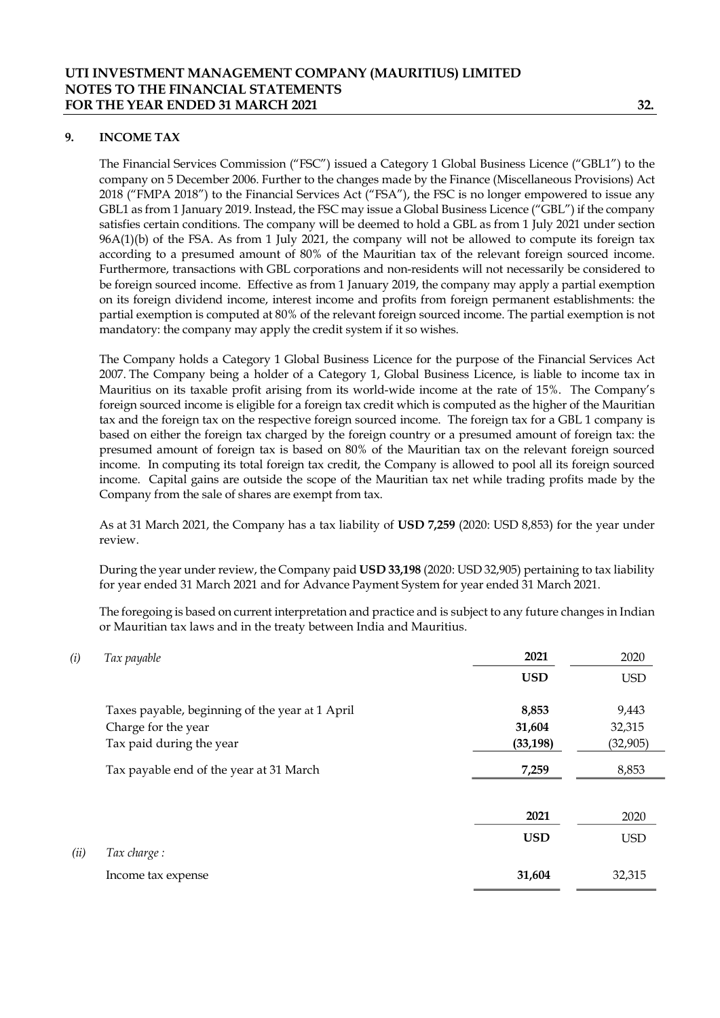# 9. INCOME TAX

The Financial Services Commission ("FSC") issued a Category 1 Global Business Licence ("GBL1") to the company on 5 December 2006. Further to the changes made by the Finance (Miscellaneous Provisions) Act 2018 ("FMPA 2018") to the Financial Services Act ("FSA"), the FSC is no longer empowered to issue any GBL1 as from 1 January 2019. Instead, the FSC may issue a Global Business Licence ("GBL") if the company satisfies certain conditions. The company will be deemed to hold a GBL as from 1 July 2021 under section 96A(1)(b) of the FSA. As from 1 July 2021, the company will not be allowed to compute its foreign tax according to a presumed amount of 80% of the Mauritian tax of the relevant foreign sourced income. Furthermore, transactions with GBL corporations and non-residents will not necessarily be considered to be foreign sourced income. Effective as from 1 January 2019, the company may apply a partial exemption on its foreign dividend income, interest income and profits from foreign permanent establishments: the partial exemption is computed at 80% of the relevant foreign sourced income. The partial exemption is not mandatory: the company may apply the credit system if it so wishes.

The Company holds a Category 1 Global Business Licence for the purpose of the Financial Services Act 2007. The Company being a holder of a Category 1, Global Business Licence, is liable to income tax in Mauritius on its taxable profit arising from its world-wide income at the rate of 15%. The Company's foreign sourced income is eligible for a foreign tax credit which is computed as the higher of the Mauritian tax and the foreign tax on the respective foreign sourced income. The foreign tax for a GBL 1 company is based on either the foreign tax charged by the foreign country or a presumed amount of foreign tax: the presumed amount of foreign tax is based on 80% of the Mauritian tax on the relevant foreign sourced income. In computing its total foreign tax credit, the Company is allowed to pool all its foreign sourced income. Capital gains are outside the scope of the Mauritian tax net while trading profits made by the Company from the sale of shares are exempt from tax.

As at 31 March 2021, the Company has a tax liability of USD 7,259 (2020: USD 8,853) for the year under review.

During the year under review, the Company paid USD 33,198 (2020: USD 32,905) pertaining to tax liability for year ended 31 March 2021 and for Advance Payment System for year ended 31 March 2021.

The foregoing is based on current interpretation and practice and is subject to any future changes in Indian or Mauritian tax laws and in the treaty between India and Mauritius.

| (i)  | Tax payable                                     | 2021       | 2020       |
|------|-------------------------------------------------|------------|------------|
|      |                                                 | <b>USD</b> | <b>USD</b> |
|      | Taxes payable, beginning of the year at 1 April | 8,853      | 9,443      |
|      | Charge for the year                             | 31,604     | 32,315     |
|      | Tax paid during the year                        | (33, 198)  | (32, 905)  |
|      | Tax payable end of the year at 31 March         | 7,259      | 8,853      |
|      |                                                 |            |            |
|      |                                                 | 2021       | 2020       |
|      |                                                 | <b>USD</b> | <b>USD</b> |
| (ii) | Tax charge:                                     |            |            |
|      | Income tax expense                              | 31,604     | 32,315     |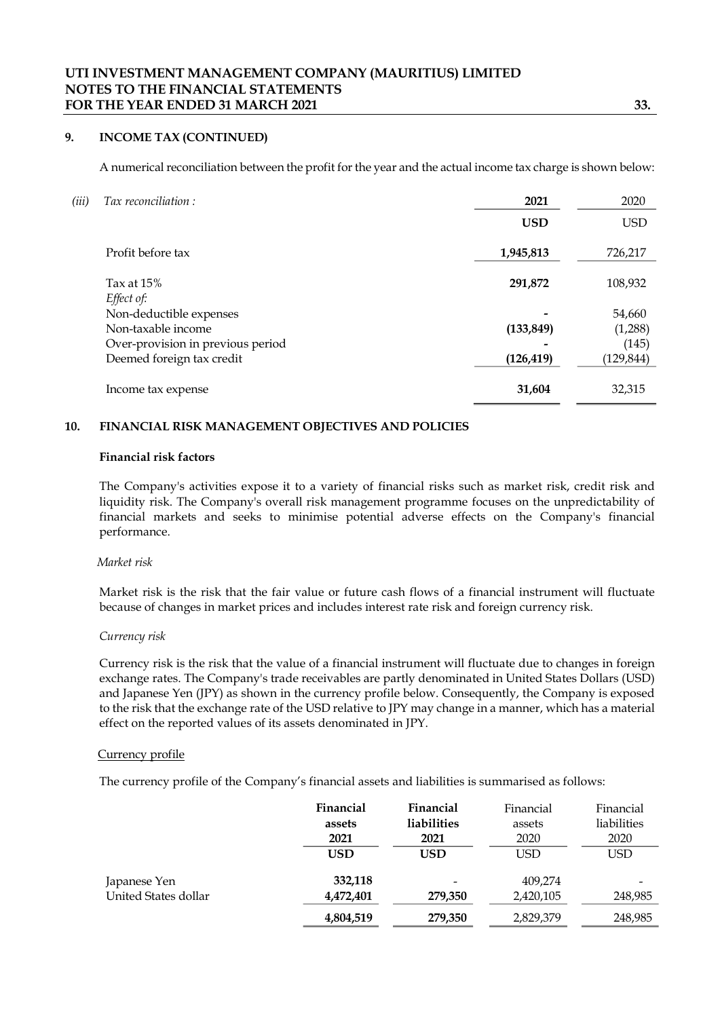## 9. INCOME TAX (CONTINUED)

A numerical reconciliation between the profit for the year and the actual income tax charge is shown below:

| (iii) | Tax reconciliation:               | 2021       | 2020       |
|-------|-----------------------------------|------------|------------|
|       |                                   | <b>USD</b> | <b>USD</b> |
|       | Profit before tax                 | 1,945,813  | 726,217    |
|       | Tax at $15\%$<br>Effect of:       | 291,872    | 108,932    |
|       | Non-deductible expenses           |            | 54,660     |
|       | Non-taxable income                | (133, 849) | (1,288)    |
|       | Over-provision in previous period |            | (145)      |
|       | Deemed foreign tax credit         | (126, 419) | (129, 844) |
|       | Income tax expense                | 31,604     | 32,315     |

## 10. FINANCIAL RISK MANAGEMENT OBJECTIVES AND POLICIES

#### Financial risk factors

The Company's activities expose it to a variety of financial risks such as market risk, credit risk and liquidity risk. The Company's overall risk management programme focuses on the unpredictability of financial markets and seeks to minimise potential adverse effects on the Company's financial performance.

#### Market risk

Market risk is the risk that the fair value or future cash flows of a financial instrument will fluctuate because of changes in market prices and includes interest rate risk and foreign currency risk.

## Currency risk

Currency risk is the risk that the value of a financial instrument will fluctuate due to changes in foreign exchange rates. The Company's trade receivables are partly denominated in United States Dollars (USD) and Japanese Yen (JPY) as shown in the currency profile below. Consequently, the Company is exposed to the risk that the exchange rate of the USD relative to JPY may change in a manner, which has a material effect on the reported values of its assets denominated in JPY.

#### Currency profile

The currency profile of the Company's financial assets and liabilities is summarised as follows:

|                      | Financial  | Financial   | Financial | Financial   |
|----------------------|------------|-------------|-----------|-------------|
|                      | assets     | liabilities | assets    | liabilities |
|                      | 2021       | 2021        | 2020      | 2020        |
|                      | <b>USD</b> | <b>USD</b>  | USD       | USD         |
| Japanese Yen         | 332,118    |             | 409.274   |             |
| United States dollar | 4,472,401  | 279,350     | 2,420,105 | 248,985     |
|                      | 4,804,519  | 279,350     | 2,829,379 | 248,985     |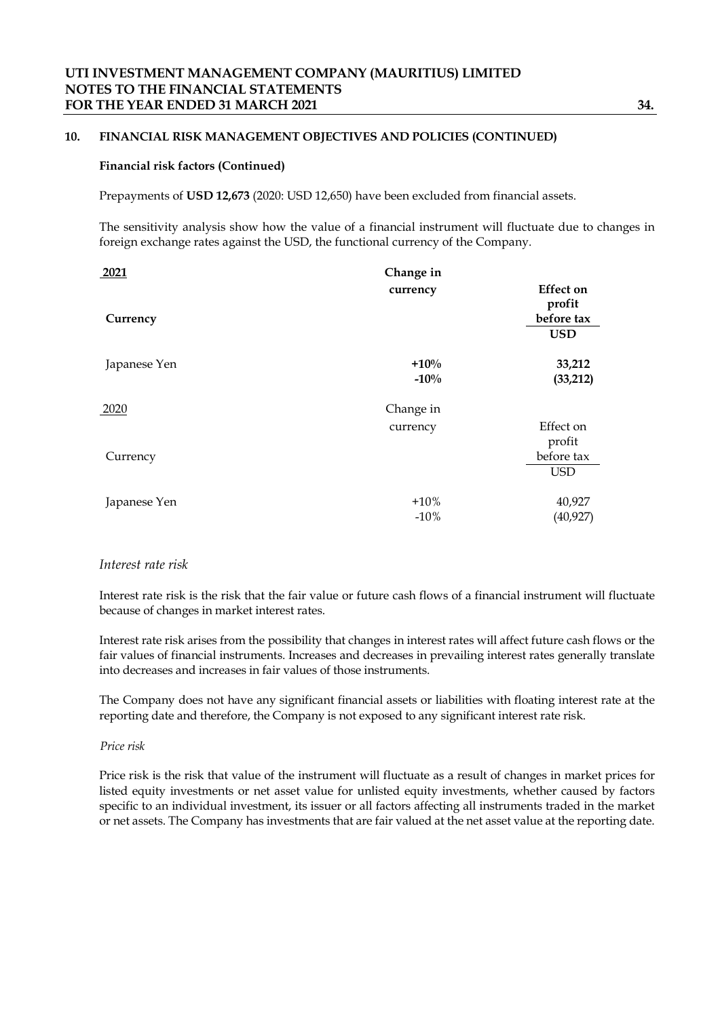## 10. FINANCIAL RISK MANAGEMENT OBJECTIVES AND POLICIES (CONTINUED)

## Financial risk factors (Continued)

Prepayments of USD 12,673 (2020: USD 12,650) have been excluded from financial assets.

The sensitivity analysis show how the value of a financial instrument will fluctuate due to changes in foreign exchange rates against the USD, the functional currency of the Company.

| Change in        |                                                        |
|------------------|--------------------------------------------------------|
| currency         | <b>Effect on</b><br>profit<br>before tax<br><b>USD</b> |
| $+10%$<br>$-10%$ | 33,212<br>(33,212)                                     |
| Change in        |                                                        |
|                  | Effect on<br>profit<br>before tax<br><b>USD</b>        |
| $+10%$           | 40,927<br>(40, 927)                                    |
|                  | currency<br>$-10\%$                                    |

## Interest rate risk

Interest rate risk is the risk that the fair value or future cash flows of a financial instrument will fluctuate because of changes in market interest rates.

Interest rate risk arises from the possibility that changes in interest rates will affect future cash flows or the fair values of financial instruments. Increases and decreases in prevailing interest rates generally translate into decreases and increases in fair values of those instruments.

The Company does not have any significant financial assets or liabilities with floating interest rate at the reporting date and therefore, the Company is not exposed to any significant interest rate risk.

## Price risk

Price risk is the risk that value of the instrument will fluctuate as a result of changes in market prices for listed equity investments or net asset value for unlisted equity investments, whether caused by factors specific to an individual investment, its issuer or all factors affecting all instruments traded in the market or net assets. The Company has investments that are fair valued at the net asset value at the reporting date.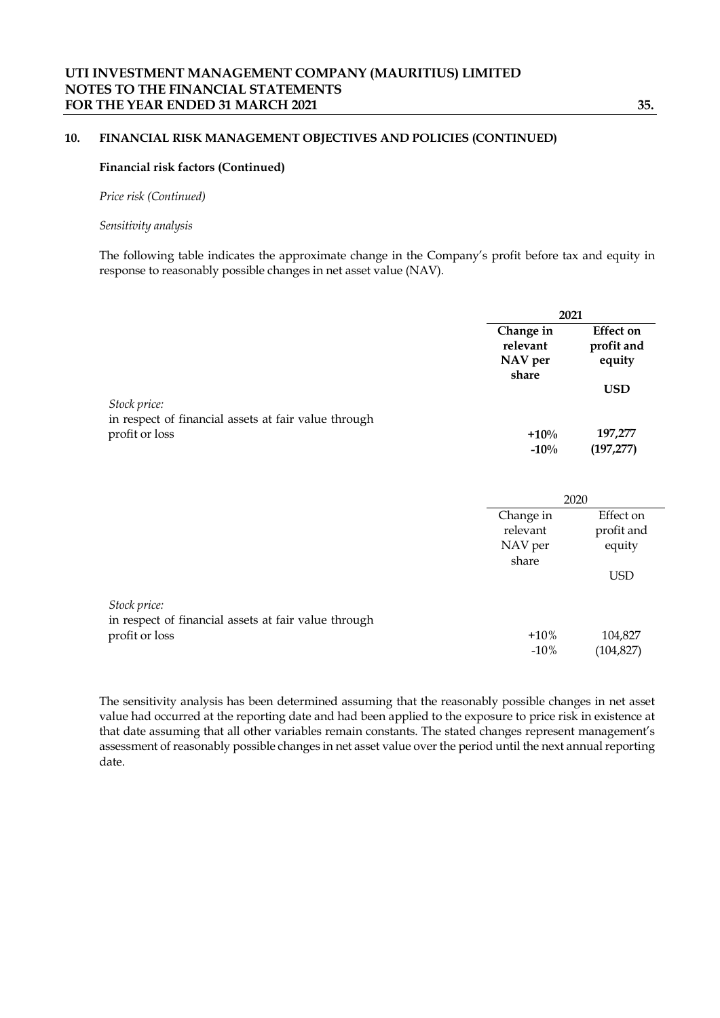## 10. FINANCIAL RISK MANAGEMENT OBJECTIVES AND POLICIES (CONTINUED)

#### Financial risk factors (Continued)

Price risk (Continued)

#### Sensitivity analysis

The following table indicates the approximate change in the Company's profit before tax and equity in response to reasonably possible changes in net asset value (NAV).

|                                                                      | 2021                                      |                                          |
|----------------------------------------------------------------------|-------------------------------------------|------------------------------------------|
|                                                                      | Change in<br>relevant<br>NAV per<br>share | <b>Effect on</b><br>profit and<br>equity |
|                                                                      |                                           | <b>USD</b>                               |
| Stock price:<br>in respect of financial assets at fair value through |                                           |                                          |
| profit or loss                                                       | $+10%$<br>$-10%$                          | 197,277<br>(197, 277)                    |
|                                                                      |                                           | 2020                                     |
|                                                                      | Change in<br>relevant                     | Effect on<br>profit and                  |
|                                                                      | NAV per<br>share                          | equity<br><b>USD</b>                     |
| Stock price:<br>in respect of financial assets at fair value through |                                           |                                          |
| profit or loss                                                       | $+10%$<br>$-10%$                          | 104,827<br>(104, 827)                    |

The sensitivity analysis has been determined assuming that the reasonably possible changes in net asset value had occurred at the reporting date and had been applied to the exposure to price risk in existence at that date assuming that all other variables remain constants. The stated changes represent management's assessment of reasonably possible changes in net asset value over the period until the next annual reporting date.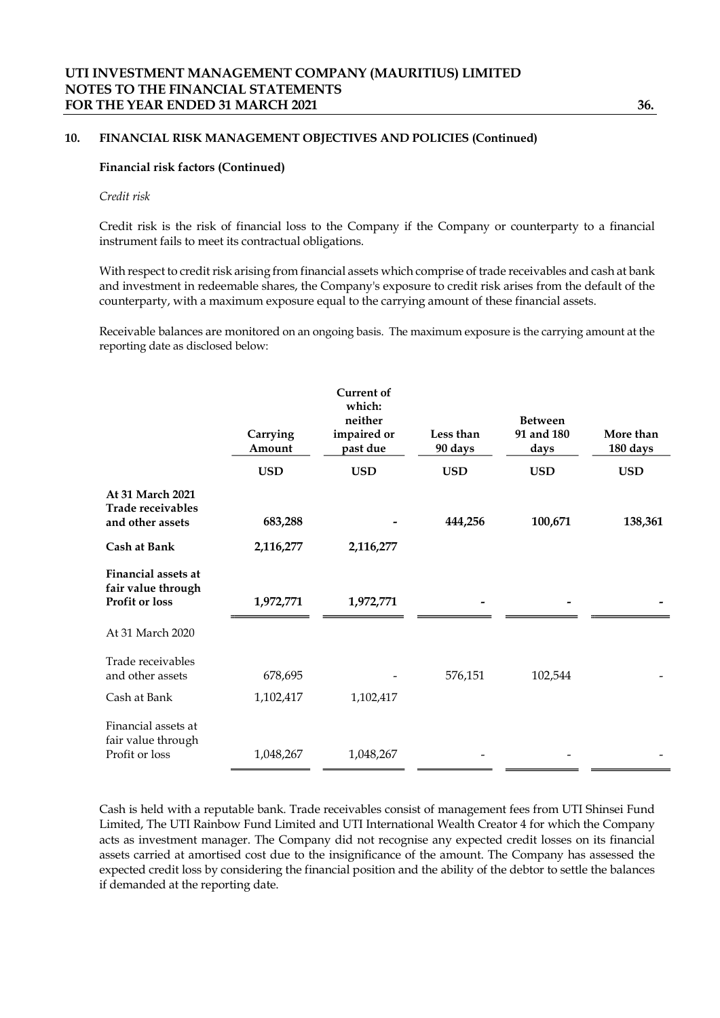## 10. FINANCIAL RISK MANAGEMENT OBJECTIVES AND POLICIES (Continued)

#### Financial risk factors (Continued)

#### Credit risk

Credit risk is the risk of financial loss to the Company if the Company or counterparty to a financial instrument fails to meet its contractual obligations.

With respect to credit risk arising from financial assets which comprise of trade receivables and cash at bank and investment in redeemable shares, the Company's exposure to credit risk arises from the default of the counterparty, with a maximum exposure equal to the carrying amount of these financial assets.

Receivable balances are monitored on an ongoing basis. The maximum exposure is the carrying amount at the reporting date as disclosed below:

|                                                                  | Carrying   | <b>Current of</b><br>which:<br>neither<br>impaired or | Less than  | <b>Between</b><br>91 and 180 | More than  |
|------------------------------------------------------------------|------------|-------------------------------------------------------|------------|------------------------------|------------|
|                                                                  | Amount     | past due                                              | 90 days    | days                         | 180 days   |
|                                                                  | <b>USD</b> | <b>USD</b>                                            | <b>USD</b> | <b>USD</b>                   | <b>USD</b> |
| At 31 March 2021<br><b>Trade receivables</b><br>and other assets | 683,288    |                                                       | 444,256    | 100,671                      | 138,361    |
| Cash at Bank                                                     | 2,116,277  | 2,116,277                                             |            |                              |            |
| Financial assets at<br>fair value through                        |            |                                                       |            |                              |            |
| <b>Profit or loss</b>                                            | 1,972,771  | 1,972,771                                             |            |                              |            |
| At 31 March 2020                                                 |            |                                                       |            |                              |            |
| Trade receivables<br>and other assets                            | 678,695    |                                                       | 576,151    | 102,544                      |            |
| Cash at Bank                                                     | 1,102,417  | 1,102,417                                             |            |                              |            |
| Financial assets at<br>fair value through                        |            |                                                       |            |                              |            |
| Profit or loss                                                   | 1,048,267  | 1,048,267                                             |            |                              |            |

Cash is held with a reputable bank. Trade receivables consist of management fees from UTI Shinsei Fund Limited, The UTI Rainbow Fund Limited and UTI International Wealth Creator 4 for which the Company acts as investment manager. The Company did not recognise any expected credit losses on its financial assets carried at amortised cost due to the insignificance of the amount. The Company has assessed the expected credit loss by considering the financial position and the ability of the debtor to settle the balances if demanded at the reporting date.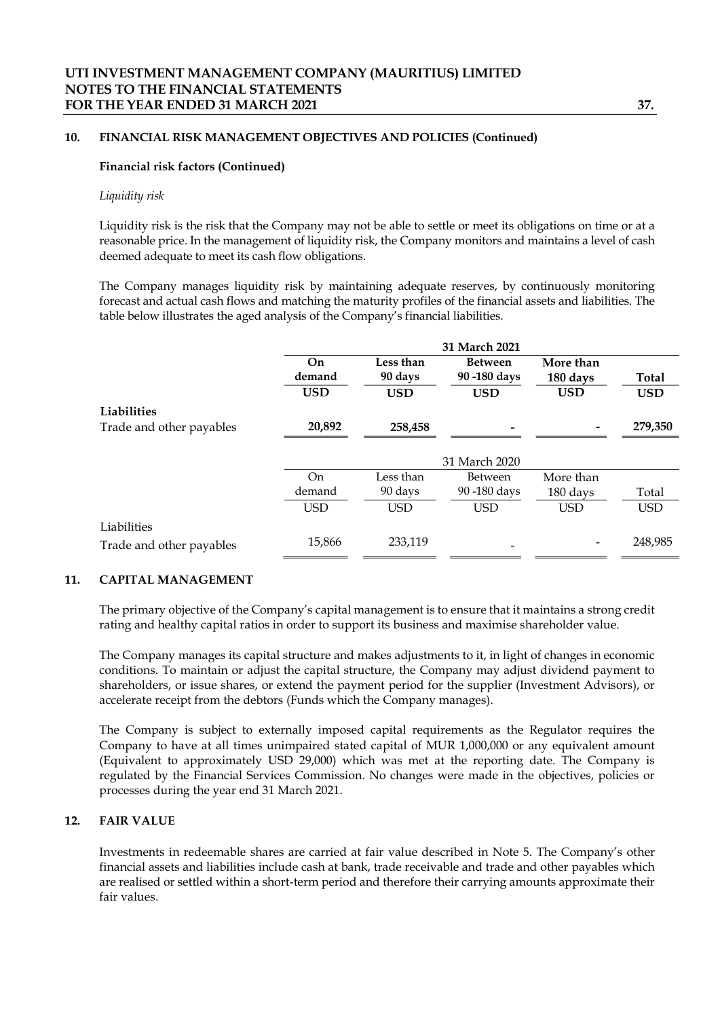## 10. FINANCIAL RISK MANAGEMENT OBJECTIVES AND POLICIES (Continued)

## Financial risk factors (Continued)

#### Liquidity risk

Liquidity risk is the risk that the Company may not be able to settle or meet its obligations on time or at a reasonable price. In the management of liquidity risk, the Company monitors and maintains a level of cash deemed adequate to meet its cash flow obligations.

The Company manages liquidity risk by maintaining adequate reserves, by continuously monitoring forecast and actual cash flows and matching the maturity profiles of the financial assets and liabilities. The table below illustrates the aged analysis of the Company's financial liabilities.

|                                         |                            |                                    | 31 March 2021                                |                                     |                            |
|-----------------------------------------|----------------------------|------------------------------------|----------------------------------------------|-------------------------------------|----------------------------|
|                                         | On<br>demand<br><b>USD</b> | Less than<br>90 days<br><b>USD</b> | <b>Between</b><br>90 -180 days<br><b>USD</b> | More than<br>180 days<br><b>USD</b> | <b>Total</b><br><b>USD</b> |
| Liabilities<br>Trade and other payables | 20,892                     | 258,458                            | -                                            | $\overline{\phantom{a}}$            | 279,350                    |
|                                         |                            |                                    | 31 March 2020                                |                                     |                            |
|                                         | <b>On</b>                  | Less than                          | <b>Between</b>                               | More than                           |                            |
|                                         | demand                     | 90 days                            | 90 -180 days                                 | 180 days                            | Total                      |
|                                         | <b>USD</b>                 | <b>USD</b>                         | USD                                          | <b>USD</b>                          | <b>USD</b>                 |
| Liabilities<br>Trade and other payables | 15,866                     | 233,119                            |                                              | $\overline{\phantom{a}}$            | 248,985                    |

#### 11. CAPITAL MANAGEMENT

The primary objective of the Company's capital management is to ensure that it maintains a strong credit rating and healthy capital ratios in order to support its business and maximise shareholder value.

The Company manages its capital structure and makes adjustments to it, in light of changes in economic conditions. To maintain or adjust the capital structure, the Company may adjust dividend payment to shareholders, or issue shares, or extend the payment period for the supplier (Investment Advisors), or accelerate receipt from the debtors (Funds which the Company manages).

The Company is subject to externally imposed capital requirements as the Regulator requires the Company to have at all times unimpaired stated capital of MUR 1,000,000 or any equivalent amount (Equivalent to approximately USD 29,000) which was met at the reporting date. The Company is regulated by the Financial Services Commission. No changes were made in the objectives, policies or processes during the year end 31 March 2021.

## 12. FAIR VALUE

Investments in redeemable shares are carried at fair value described in Note 5. The Company's other financial assets and liabilities include cash at bank, trade receivable and trade and other payables which are realised or settled within a short-term period and therefore their carrying amounts approximate their fair values.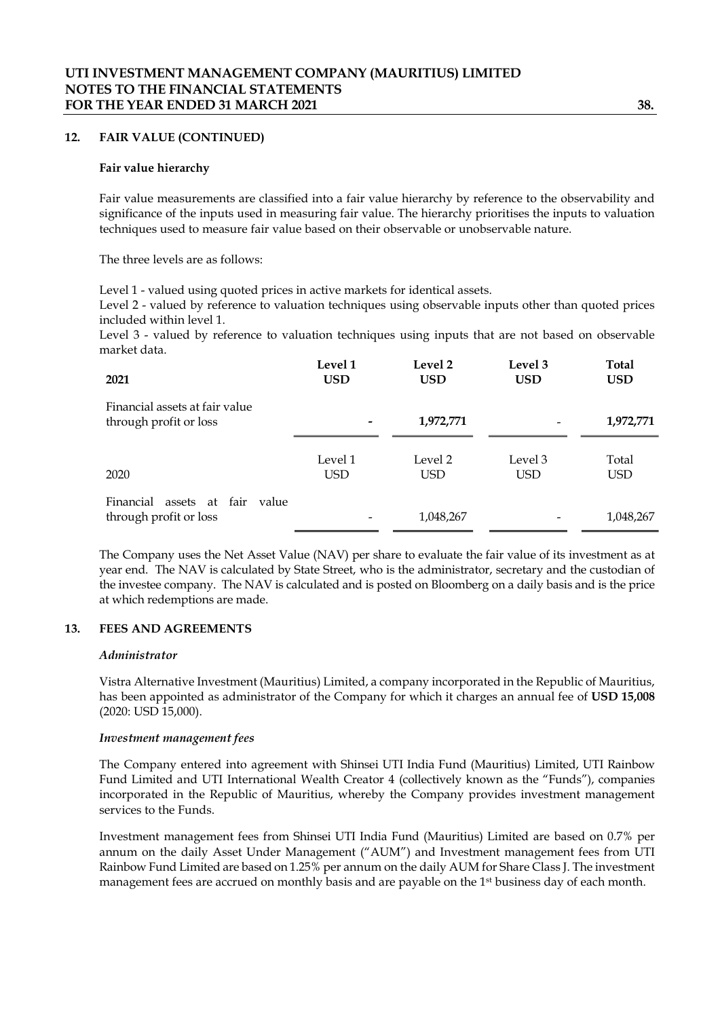## 12. FAIR VALUE (CONTINUED)

#### Fair value hierarchy

Fair value measurements are classified into a fair value hierarchy by reference to the observability and significance of the inputs used in measuring fair value. The hierarchy prioritises the inputs to valuation techniques used to measure fair value based on their observable or unobservable nature.

The three levels are as follows:

Level 1 - valued using quoted prices in active markets for identical assets.

Level 2 - valued by reference to valuation techniques using observable inputs other than quoted prices included within level 1.

Level 3 - valued by reference to valuation techniques using inputs that are not based on observable market data.

| 2021                                                           | <b>Level 1</b> | Level 2    | Level 3    | <b>Total</b> |
|----------------------------------------------------------------|----------------|------------|------------|--------------|
|                                                                | <b>USD</b>     | <b>USD</b> | <b>USD</b> | <b>USD</b>   |
| Financial assets at fair value<br>through profit or loss       | -              | 1,972,771  |            | 1,972,771    |
| 2020                                                           | Level 1        | Level 2    | Level 3    | Total        |
|                                                                | <b>USD</b>     | <b>USD</b> | <b>USD</b> | <b>USD</b>   |
| Financial<br>assets at fair<br>value<br>through profit or loss |                | 1,048,267  |            | 1,048,267    |

The Company uses the Net Asset Value (NAV) per share to evaluate the fair value of its investment as at year end. The NAV is calculated by State Street, who is the administrator, secretary and the custodian of the investee company. The NAV is calculated and is posted on Bloomberg on a daily basis and is the price at which redemptions are made.

## 13. FEES AND AGREEMENTS

#### Administrator

Vistra Alternative Investment (Mauritius) Limited, a company incorporated in the Republic of Mauritius, has been appointed as administrator of the Company for which it charges an annual fee of USD 15,008 (2020: USD 15,000).

## Investment management fees

The Company entered into agreement with Shinsei UTI India Fund (Mauritius) Limited, UTI Rainbow Fund Limited and UTI International Wealth Creator 4 (collectively known as the "Funds"), companies incorporated in the Republic of Mauritius, whereby the Company provides investment management services to the Funds.

Investment management fees from Shinsei UTI India Fund (Mauritius) Limited are based on 0.7% per annum on the daily Asset Under Management ("AUM") and Investment management fees from UTI Rainbow Fund Limited are based on 1.25% per annum on the daily AUM for Share Class J. The investment management fees are accrued on monthly basis and are payable on the 1st business day of each month.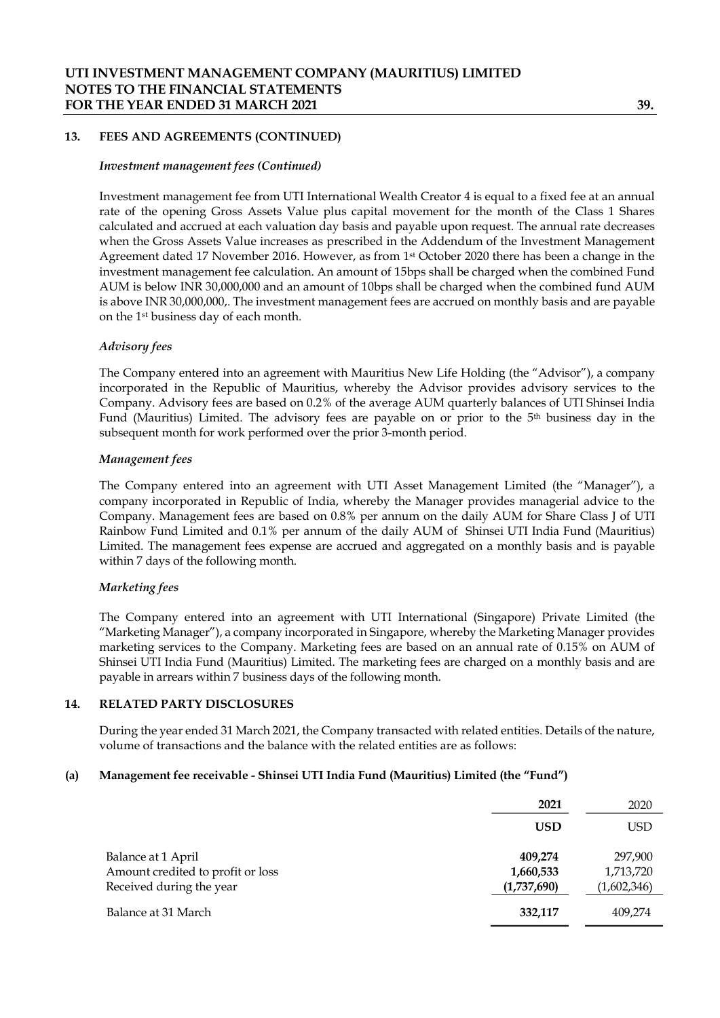## 13. FEES AND AGREEMENTS (CONTINUED)

#### Investment management fees (Continued)

Investment management fee from UTI International Wealth Creator 4 is equal to a fixed fee at an annual rate of the opening Gross Assets Value plus capital movement for the month of the Class 1 Shares calculated and accrued at each valuation day basis and payable upon request. The annual rate decreases when the Gross Assets Value increases as prescribed in the Addendum of the Investment Management Agreement dated 17 November 2016. However, as from 1st October 2020 there has been a change in the investment management fee calculation. An amount of 15bps shall be charged when the combined Fund AUM is below INR 30,000,000 and an amount of 10bps shall be charged when the combined fund AUM is above INR 30,000,000,. The investment management fees are accrued on monthly basis and are payable on the 1st business day of each month.

#### Advisory fees

The Company entered into an agreement with Mauritius New Life Holding (the "Advisor"), a company incorporated in the Republic of Mauritius, whereby the Advisor provides advisory services to the Company. Advisory fees are based on 0.2% of the average AUM quarterly balances of UTI Shinsei India Fund (Mauritius) Limited. The advisory fees are payable on or prior to the 5th business day in the subsequent month for work performed over the prior 3-month period.

#### Management fees

The Company entered into an agreement with UTI Asset Management Limited (the "Manager"), a company incorporated in Republic of India, whereby the Manager provides managerial advice to the Company. Management fees are based on 0.8% per annum on the daily AUM for Share Class J of UTI Rainbow Fund Limited and 0.1% per annum of the daily AUM of Shinsei UTI India Fund (Mauritius) Limited. The management fees expense are accrued and aggregated on a monthly basis and is payable within 7 days of the following month.

#### Marketing fees

The Company entered into an agreement with UTI International (Singapore) Private Limited (the "Marketing Manager"), a company incorporated in Singapore, whereby the Marketing Manager provides marketing services to the Company. Marketing fees are based on an annual rate of 0.15% on AUM of Shinsei UTI India Fund (Mauritius) Limited. The marketing fees are charged on a monthly basis and are payable in arrears within 7 business days of the following month.

#### 14. RELATED PARTY DISCLOSURES

During the year ended 31 March 2021, the Company transacted with related entities. Details of the nature, volume of transactions and the balance with the related entities are as follows:

#### (a) Management fee receivable - Shinsei UTI India Fund (Mauritius) Limited (the "Fund")

|                                                                                     | 2021                                | 2020                                |
|-------------------------------------------------------------------------------------|-------------------------------------|-------------------------------------|
|                                                                                     | <b>USD</b>                          | USD                                 |
| Balance at 1 April<br>Amount credited to profit or loss<br>Received during the year | 409,274<br>1,660,533<br>(1,737,690) | 297,900<br>1,713,720<br>(1,602,346) |
| Balance at 31 March                                                                 | 332,117                             | 409,274                             |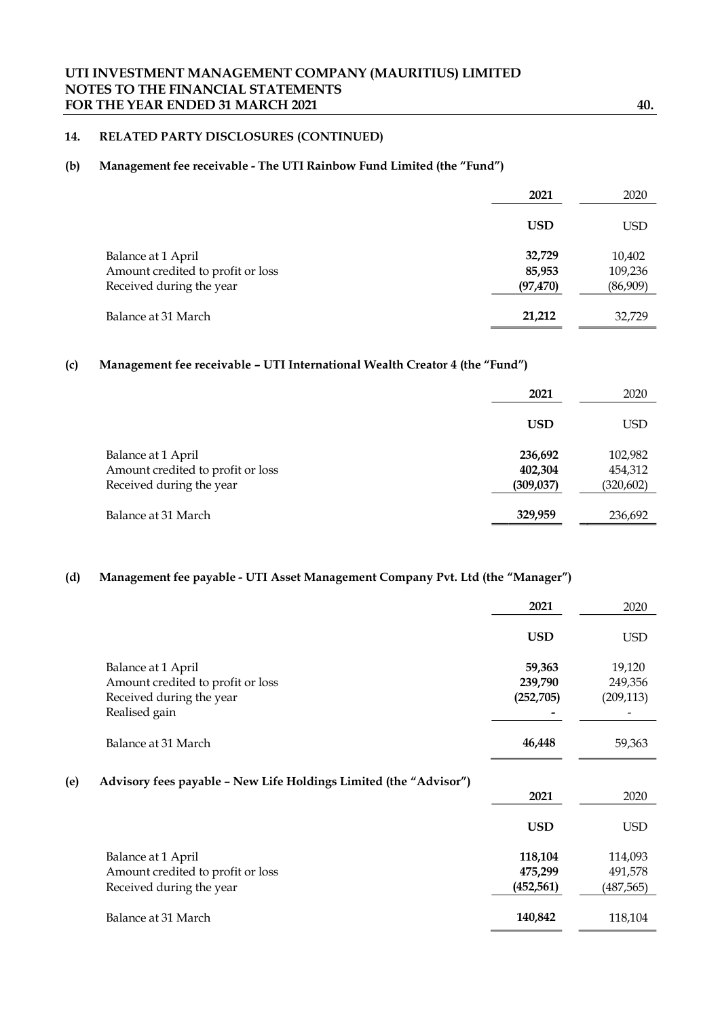# 14. RELATED PARTY DISCLOSURES (CONTINUED)

# (b) Management fee receivable - The UTI Rainbow Fund Limited (the "Fund")

|                                                                                     | 2021                          | 2020                          |
|-------------------------------------------------------------------------------------|-------------------------------|-------------------------------|
|                                                                                     | <b>USD</b>                    | USD                           |
| Balance at 1 April<br>Amount credited to profit or loss<br>Received during the year | 32,729<br>85,953<br>(97, 470) | 10,402<br>109,236<br>(86,909) |
| Balance at 31 March                                                                 | 21,212                        | 32.729                        |

# (c) Management fee receivable – UTI International Wealth Creator 4 (the "Fund")

|                                                                                     | 2021                             | 2020                             |
|-------------------------------------------------------------------------------------|----------------------------------|----------------------------------|
|                                                                                     | <b>USD</b>                       | <b>USD</b>                       |
| Balance at 1 April<br>Amount credited to profit or loss<br>Received during the year | 236,692<br>402,304<br>(309, 037) | 102,982<br>454,312<br>(320, 602) |
| Balance at 31 March                                                                 | 329,959                          | 236,692                          |

# (d) Management fee payable - UTI Asset Management Company Pvt. Ltd (the "Manager")

|                                                                          | 2021                 | 2020       |
|--------------------------------------------------------------------------|----------------------|------------|
|                                                                          | <b>USD</b>           | <b>USD</b> |
| Balance at 1 April                                                       | 59,363               | 19,120     |
| Amount credited to profit or loss                                        | 239,790<br>(252,705) | 249,356    |
| Received during the year<br>Realised gain                                |                      | (209, 113) |
| Balance at 31 March                                                      | 46,448               | 59,363     |
| (e)<br>Advisory fees payable - New Life Holdings Limited (the "Advisor") |                      |            |
|                                                                          | 2021                 | 2020       |
|                                                                          | <b>USD</b>           | <b>USD</b> |
| Balance at 1 April                                                       | 118,104              | 114,093    |
| Amount credited to profit or loss                                        | 475,299              | 491,578    |
| Received during the year                                                 | (452, 561)           | (487, 565) |
| Balance at 31 March                                                      | 140,842              | 118,104    |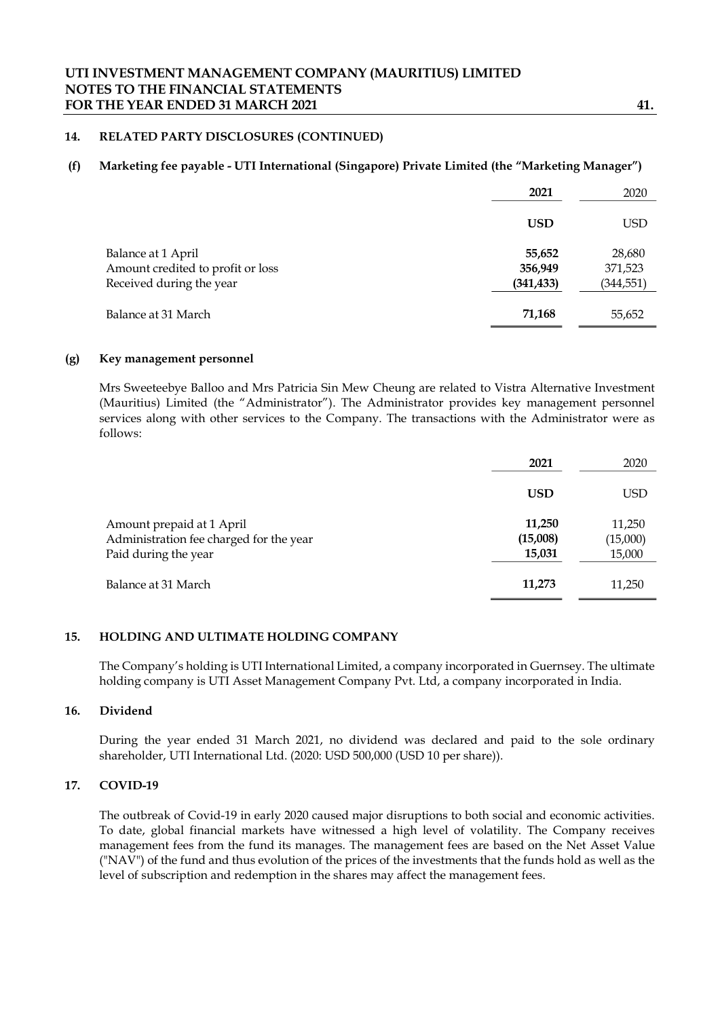## 14. RELATED PARTY DISCLOSURES (CONTINUED)

## (f) Marketing fee payable - UTI International (Singapore) Private Limited (the "Marketing Manager")

|                                                                                     | 2021                            | 2020                            |
|-------------------------------------------------------------------------------------|---------------------------------|---------------------------------|
|                                                                                     | <b>USD</b>                      | <b>USD</b>                      |
| Balance at 1 April<br>Amount credited to profit or loss<br>Received during the year | 55,652<br>356,949<br>(341, 433) | 28,680<br>371,523<br>(344, 551) |
| Balance at 31 March                                                                 | 71,168                          | 55,652                          |

#### (g) Key management personnel

Mrs Sweeteebye Balloo and Mrs Patricia Sin Mew Cheung are related to Vistra Alternative Investment (Mauritius) Limited (the "Administrator"). The Administrator provides key management personnel services along with other services to the Company. The transactions with the Administrator were as follows:

|                                                                                              | 2021                         | 2020                         |
|----------------------------------------------------------------------------------------------|------------------------------|------------------------------|
|                                                                                              | <b>USD</b>                   | <b>USD</b>                   |
| Amount prepaid at 1 April<br>Administration fee charged for the year<br>Paid during the year | 11,250<br>(15,008)<br>15,031 | 11,250<br>(15,000)<br>15,000 |
| Balance at 31 March                                                                          | 11,273                       | 11,250                       |

#### 15. HOLDING AND ULTIMATE HOLDING COMPANY

The Company's holding is UTI International Limited, a company incorporated in Guernsey. The ultimate holding company is UTI Asset Management Company Pvt. Ltd, a company incorporated in India.

# 16. Dividend

During the year ended 31 March 2021, no dividend was declared and paid to the sole ordinary shareholder, UTI International Ltd. (2020: USD 500,000 (USD 10 per share)).

## 17. COVID-19

The outbreak of Covid-19 in early 2020 caused major disruptions to both social and economic activities. To date, global financial markets have witnessed a high level of volatility. The Company receives management fees from the fund its manages. The management fees are based on the Net Asset Value ("NAV") of the fund and thus evolution of the prices of the investments that the funds hold as well as the level of subscription and redemption in the shares may affect the management fees.